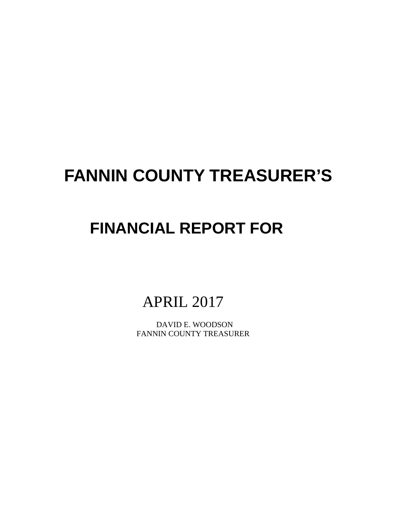# **FANNIN COUNTY TREASURER'S**

# **FINANCIAL REPORT FOR**

# APRIL 2017

 DAVID E. WOODSON FANNIN COUNTY TREASURER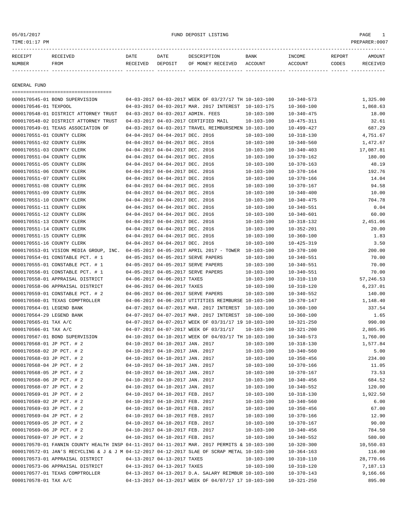# 05/01/2017 FUND DEPOSIT LISTING PAGE 1

| RECEIPT | <b>RECEIVED</b> | DATE            | DATE    | DESCRIPTION       | <b>BANK</b> | INCOME  | REPORT | AMOUNT          |
|---------|-----------------|-----------------|---------|-------------------|-------------|---------|--------|-----------------|
| NUMBER  | FROM            | <b>RECEIVED</b> | DEPOSIT | OF MONEY RECEIVED | ACCOUNT     | ACCOUNT | CODES  | <b>RECEIVED</b> |
|         |                 |                 |         |                   |             |         |        |                 |

GENERAL FUND

|                            | ====================================                                                         |                                 |                                                                    |                                                      |                  |                  |           |
|----------------------------|----------------------------------------------------------------------------------------------|---------------------------------|--------------------------------------------------------------------|------------------------------------------------------|------------------|------------------|-----------|
|                            | 0000170545-01 BOND SUPERVISION                                                               |                                 |                                                                    | 04-03-2017 04-03-2017 WEEK OF 03/27/17 TH 10-103-100 |                  | $10 - 340 - 573$ | 1,325.00  |
| 0000170546-01 TEXPOOL      |                                                                                              |                                 |                                                                    | 04-03-2017 04-03-2017 MAR. 2017 INTEREST 10-103-175  |                  | $10 - 360 - 100$ | 1,868.63  |
|                            | 0000170548-01 DISTRICT ATTORNEY TRUST                                                        |                                 |                                                                    | 04-03-2017 04-03-2017 ADMIN. FEES                    | $10 - 103 - 100$ | $10 - 340 - 475$ | 18.00     |
|                            | 0000170548-02 DISTRICT ATTORNEY TRUST                                                        |                                 |                                                                    | 04-03-2017 04-03-2017 CERTIFIED MAIL                 | $10 - 103 - 100$ | $10 - 475 - 311$ | 32.61     |
|                            | 0000170549-01 TEXAS ASSOCIATION OF                                                           |                                 |                                                                    | 04-03-2017 04-03-2017 TRAVEL REIMBURSEMEN 10-103-100 |                  | $10 - 499 - 427$ | 687.29    |
| 0000170551-01 COUNTY CLERK |                                                                                              |                                 | 04-04-2017 04-04-2017 DEC. 2016                                    |                                                      | $10 - 103 - 100$ | $10 - 318 - 130$ | 4,751.67  |
| 0000170551-02 COUNTY CLERK |                                                                                              |                                 | 04-04-2017 04-04-2017 DEC. 2016                                    |                                                      | $10 - 103 - 100$ | $10 - 340 - 560$ | 1,472.67  |
| 0000170551-03 COUNTY CLERK |                                                                                              |                                 | 04-04-2017 04-04-2017 DEC. 2016                                    |                                                      | $10 - 103 - 100$ | $10 - 340 - 403$ | 17,087.81 |
| 0000170551-04 COUNTY CLERK |                                                                                              |                                 | 04-04-2017 04-04-2017 DEC. 2016                                    |                                                      | $10 - 103 - 100$ | $10 - 370 - 162$ | 180.00    |
| 0000170551-05 COUNTY CLERK |                                                                                              |                                 | 04-04-2017 04-04-2017 DEC. 2016                                    |                                                      | $10 - 103 - 100$ | $10 - 370 - 163$ | 48.19     |
| 0000170551-06 COUNTY CLERK |                                                                                              |                                 | 04-04-2017 04-04-2017 DEC. 2016                                    |                                                      | $10 - 103 - 100$ | $10 - 370 - 164$ | 192.76    |
| 0000170551-07 COUNTY CLERK |                                                                                              |                                 | 04-04-2017 04-04-2017 DEC. 2016                                    |                                                      | $10 - 103 - 100$ | $10 - 370 - 166$ | 14.04     |
| 0000170551-08 COUNTY CLERK |                                                                                              |                                 | 04-04-2017 04-04-2017 DEC. 2016                                    |                                                      | $10 - 103 - 100$ | $10 - 370 - 167$ | 94.58     |
| 0000170551-09 COUNTY CLERK |                                                                                              |                                 | 04-04-2017 04-04-2017 DEC. 2016                                    |                                                      | $10 - 103 - 100$ | $10 - 340 - 400$ | 10.00     |
| 0000170551-10 COUNTY CLERK |                                                                                              |                                 | 04-04-2017 04-04-2017 DEC. 2016                                    |                                                      | $10 - 103 - 100$ | $10 - 340 - 475$ | 704.78    |
| 0000170551-11 COUNTY CLERK |                                                                                              |                                 | 04-04-2017 04-04-2017 DEC. 2016                                    |                                                      | $10 - 103 - 100$ | $10 - 340 - 551$ | 0.04      |
| 0000170551-12 COUNTY CLERK |                                                                                              |                                 | 04-04-2017 04-04-2017 DEC. 2016                                    |                                                      | $10 - 103 - 100$ | $10 - 340 - 601$ | 60.00     |
| 0000170551-13 COUNTY CLERK |                                                                                              |                                 | 04-04-2017 04-04-2017 DEC. 2016                                    |                                                      | $10 - 103 - 100$ | $10 - 318 - 132$ | 2,451.06  |
| 0000170551-14 COUNTY CLERK |                                                                                              |                                 | 04-04-2017 04-04-2017 DEC. 2016                                    |                                                      | $10 - 103 - 100$ | $10 - 352 - 201$ | 20.00     |
| 0000170551-15 COUNTY CLERK |                                                                                              |                                 | 04-04-2017 04-04-2017 DEC. 2016                                    |                                                      | $10 - 103 - 100$ | $10 - 360 - 100$ | 1.83      |
| 0000170551-16 COUNTY CLERK |                                                                                              |                                 | 04-04-2017 04-04-2017 DEC. 2016                                    |                                                      | $10 - 103 - 100$ | $10 - 425 - 319$ | 3.50      |
|                            | 0000170553-01 VISION MEDIA GROUP, INC.                                                       |                                 |                                                                    | 04-05-2017 04-05-2017 APRIL 2017 - TOWER             | $10 - 103 - 100$ | $10 - 370 - 100$ | 200.00    |
|                            | 0000170554-01 CONSTABLE PCT. # 1                                                             |                                 |                                                                    | 04-05-2017 04-05-2017 SERVE PAPERS                   | $10 - 103 - 100$ | $10 - 340 - 551$ | 70.00     |
|                            | 0000170555-01 CONSTABLE PCT. # 1                                                             |                                 |                                                                    | 04-05-2017 04-05-2017 SERVE PAPERS                   | $10 - 103 - 100$ | $10 - 340 - 551$ | 70.00     |
|                            | 0000170556-01 CONSTABLE PCT. # 1                                                             |                                 |                                                                    | 04-05-2017 04-05-2017 SERVE PAPERS                   | $10 - 103 - 100$ | $10 - 340 - 551$ | 70.00     |
|                            | 0000170558-01 APPRAISAL DISTRICT                                                             |                                 | 04-06-2017 04-06-2017 TAXES                                        |                                                      | $10 - 103 - 100$ | $10 - 310 - 110$ | 57,246.53 |
|                            | 0000170558-06 APPRAISAL DISTRICT                                                             |                                 | 04-06-2017 04-06-2017 TAXES                                        |                                                      | $10 - 103 - 100$ | $10 - 310 - 120$ | 6,237.01  |
|                            | 0000170559-01 CONSTABLE PCT. # 2                                                             |                                 |                                                                    | 04-06-2017 04-06-2017 SERVE PAPERS                   | $10 - 103 - 100$ | $10 - 340 - 552$ | 140.00    |
|                            | 0000170560-01 TEXAS COMPTROLLER                                                              |                                 |                                                                    | 04-06-2017 04-06-2017 UTITITIES REIMBURSE 10-103-100 |                  | $10 - 370 - 147$ | 1,148.40  |
| 0000170564-01 LEGEND BANK  |                                                                                              |                                 |                                                                    | 04-07-2017 04-07-2017 MAR. 2017 INTEREST             | 10-103-100       | $10 - 360 - 100$ | 337.54    |
| 0000170564-29 LEGEND BANK  |                                                                                              |                                 |                                                                    | 04-07-2017 04-07-2017 MAR. 2017 INTEREST             | $10 - 100 - 100$ | $10 - 360 - 100$ | 1.65      |
| 0000170565-01 TAX A/C      |                                                                                              |                                 |                                                                    | 04-07-2017 04-07-2017 WEEK OF 03/31/17 19 10-103-100 |                  | $10 - 321 - 250$ | 990.00    |
| 0000170566-01 TAX A/C      |                                                                                              |                                 |                                                                    | 04-07-2017 04-07-2017 WEEK OF 03/31/17               | $10 - 103 - 100$ | $10 - 321 - 200$ | 2,805.95  |
|                            | 0000170567-01 BOND SUPERVISION                                                               |                                 |                                                                    | 04-10-2017 04-10-2017 WEEK OF 04/03/17 TH 10-103-100 |                  | $10 - 340 - 573$ | 1,760.00  |
| 0000170568-01 JP PCT. # 2  |                                                                                              |                                 | 04-10-2017 04-10-2017 JAN. 2017                                    |                                                      | $10 - 103 - 100$ | $10 - 318 - 130$ | 1,577.84  |
| 0000170568-02 JP PCT. # 2  |                                                                                              |                                 | 04-10-2017 04-10-2017 JAN. 2017                                    |                                                      | $10 - 103 - 100$ | $10 - 340 - 560$ | 5.00      |
| 0000170568-03 JP PCT. # 2  |                                                                                              |                                 | 04-10-2017 04-10-2017 JAN. 2017                                    |                                                      | $10 - 103 - 100$ | $10 - 350 - 456$ | 234.00    |
| 0000170568-04 JP PCT. # 2  |                                                                                              |                                 | 04-10-2017 04-10-2017 JAN. 2017                                    |                                                      | $10 - 103 - 100$ | $10 - 370 - 166$ | 11.05     |
| 0000170568-05 JP PCT. # 2  |                                                                                              |                                 | 04-10-2017 04-10-2017 JAN. 2017                                    |                                                      | $10 - 103 - 100$ | $10 - 370 - 167$ | 73.53     |
| 0000170568-06 JP PCT. # 2  |                                                                                              |                                 | 04-10-2017 04-10-2017 JAN. 2017                                    |                                                      | $10 - 103 - 100$ | $10 - 340 - 456$ | 684.52    |
| 0000170568-07 JP PCT. # 2  |                                                                                              |                                 | 04-10-2017 04-10-2017 JAN. 2017                                    |                                                      | $10 - 103 - 100$ | $10 - 340 - 552$ | 120.00    |
| 0000170569-01 JP PCT. # 2  |                                                                                              |                                 | 04-10-2017 04-10-2017 FEB. 2017                                    |                                                      | $10 - 103 - 100$ | $10 - 318 - 130$ | 1,922.50  |
| 0000170569-02 JP PCT. # 2  |                                                                                              |                                 | 04-10-2017 04-10-2017 FEB. 2017                                    |                                                      | $10 - 103 - 100$ |                  | 6.00      |
| 0000170569-03 JP PCT. # 2  |                                                                                              |                                 | 04-10-2017 04-10-2017 FEB. 2017                                    |                                                      |                  | $10 - 340 - 560$ | 67.00     |
|                            |                                                                                              |                                 |                                                                    |                                                      | 10-103-100       | $10 - 350 - 456$ |           |
| 0000170569-04 JP PCT. # 2  |                                                                                              |                                 | 04-10-2017 04-10-2017 FEB. 2017<br>04-10-2017 04-10-2017 FEB. 2017 |                                                      | $10 - 103 - 100$ | $10 - 370 - 166$ | 12.90     |
| 0000170569-05 JP PCT. # 2  |                                                                                              |                                 |                                                                    |                                                      | $10 - 103 - 100$ | $10 - 370 - 167$ | 90.00     |
| 0000170569-06 JP PCT. # 2  |                                                                                              | 04-10-2017 04-10-2017 FEB. 2017 |                                                                    |                                                      | $10 - 103 - 100$ | $10 - 340 - 456$ | 784.50    |
| 0000170569-07 JP PCT. # 2  |                                                                                              | 04-10-2017 04-10-2017 FEB. 2017 |                                                                    |                                                      | $10 - 103 - 100$ | $10 - 340 - 552$ | 580.00    |
|                            | 0000170570-01 FANNIN COUNTY HEALTH INSP 04-11-2017 04-11-2017 MAR. 2017 PERMITS & 10-103-100 |                                 |                                                                    |                                                      |                  | $10 - 320 - 300$ | 10,550.03 |
|                            | 0000170572-01 JAN'S RECYCLING & J & J M 04-12-2017 04-12-2017 SLAE OF SCRAP METAL 10-103-100 |                                 |                                                                    |                                                      |                  | $10 - 364 - 163$ | 116.00    |
|                            | 0000170573-01 APPRAISAL DISTRICT                                                             |                                 | 04-13-2017 04-13-2017 TAXES                                        |                                                      | $10 - 103 - 100$ | $10 - 310 - 110$ | 28,770.66 |
|                            | 0000170573-06 APPRAISAL DISTRICT                                                             |                                 | 04-13-2017 04-13-2017 TAXES                                        |                                                      | $10 - 103 - 100$ | $10 - 310 - 120$ | 7,187.13  |
|                            | 0000170577-01 TEXAS COMPTROLLER                                                              |                                 |                                                                    | 04-13-2017 04-13-2017 D.A. SALARY REIMBUR 10-103-100 |                  | $10 - 370 - 143$ | 9,166.66  |
| 0000170578-01 TAX A/C      |                                                                                              |                                 |                                                                    | 04-13-2017 04-13-2017 WEEK OF 04/07/17 17 10-103-100 |                  | $10 - 321 - 250$ | 895.00    |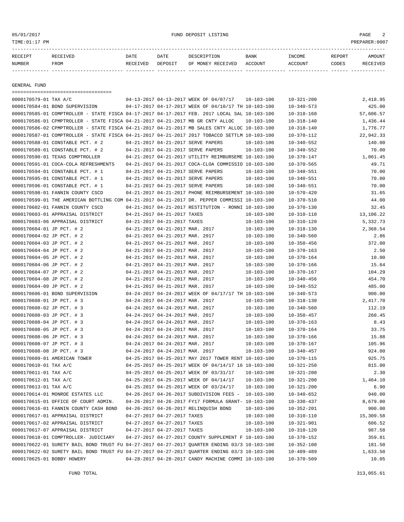05/01/2017 FUND DEPOSIT LISTING PAGE 2

| RECEIPT | RECEIVED | DATE     | DATE    | DESCRIPTION       | <b>BANK</b> | INCOME  | REPORT | AMOUNT          |
|---------|----------|----------|---------|-------------------|-------------|---------|--------|-----------------|
| NUMBER  | FROM     | RECEIVED | DEPOSIT | OF MONEY RECEIVED | ACCOUNT     | ACCOUNT | CODES  | <b>RECEIVED</b> |
|         |          |          |         |                   |             |         |        |                 |

GENERAL FUND

| =====================================                                                        |                                 |                                                      |                  |                  |           |
|----------------------------------------------------------------------------------------------|---------------------------------|------------------------------------------------------|------------------|------------------|-----------|
| 0000170579-01 TAX A/C                                                                        |                                 | 04-13-2017 04-13-2017 WEEK OF 04/07/17               | $10 - 103 - 100$ | $10 - 321 - 200$ | 2,418.95  |
| 0000170584-01 BOND SUPERVISION                                                               |                                 | 04-17-2017 04-17-2017 WEEK OF 04/10/17 TH 10-103-100 |                  | $10 - 340 - 573$ | 425.00    |
| 0000170585-01 COMPTROLLER - STATE FISCA 04-17-2017 04-17-2017 FEB. 2017 LOCAL SAL 10-103-100 |                                 |                                                      |                  | $10 - 318 - 160$ | 57,606.57 |
| 0000170586-01 CPMPTROLLER - STATE FISCA 04-21-2017 04-21-2017 MB GR CNTY ALLOC               |                                 |                                                      | $10 - 103 - 100$ | $10 - 318 - 140$ | 1,436.44  |
| 0000170586-02 CPMPTROLLER - STATE FISCA 04-21-2017 04-21-2017 MB SALES CNTY ALLOC 10-103-100 |                                 |                                                      |                  | $10 - 318 - 140$ | 1,776.77  |
| 0000170587-01 COMPTROLLER - STATE FISCA 04-21-2017 04-21-2017 2017 TOBACCO SETTLM 10-103-100 |                                 |                                                      |                  | $10 - 370 - 112$ | 22,942.33 |
| 0000170588-01 CONSTABLE PCT. # 2                                                             |                                 | 04-21-2017 04-21-2017 SERVE PAPERS                   | 10-103-100       | $10 - 340 - 552$ | 140.00    |
| 0000170589-01 CONSTABLE PCT. # 2                                                             |                                 | 04-21-2017 04-21-2017 SERVE PAPERS                   | $10 - 103 - 100$ | $10 - 340 - 552$ | 70.00     |
| 0000170590-01 TEXAS COMPTROLLER                                                              |                                 | 04-21-2017 04-21-2017 UTILITY REIMBURSEME 10-103-100 |                  | $10 - 370 - 147$ | 1,061.45  |
| 0000170591-01 COCA-COLA REFRESHMENTS                                                         |                                 | 04-21-2017 04-21-2017 COCA-CLOA COMMISSIO 10-103-100 |                  | $10 - 370 - 565$ | 49.71     |
| 0000170594-01 CONSTABLE PCT. # 1                                                             |                                 | 04-21-2017 04-21-2017 SERVE PAPERS                   | $10 - 103 - 100$ | $10 - 340 - 551$ | 70.00     |
| 0000170595-01 CONSTABLE PCT. # 1                                                             |                                 | 04-21-2017 04-21-2017 SERVE PAPERS                   | $10 - 103 - 100$ | $10 - 340 - 551$ | 70.00     |
| 0000170596-01 CONSTABLE PCT. # 1                                                             |                                 | 04-21-2017 04-21-2017 SERVE PAPERS                   | $10 - 103 - 100$ | $10 - 340 - 551$ | 70.00     |
| 0000170598-01 FANNIN COUNTY CSCD                                                             |                                 | 04-21-2017 04-21-2017 PHONE REIMBURSEMENT 10-103-100 |                  | $10 - 570 - 420$ | 31.65     |
| 0000170599-01 THE AMERICAN BOTTLING COM 04-21-2017 04-21-2017 DR. PEPPER COMMISSI 10-103-100 |                                 |                                                      |                  | $10 - 370 - 510$ | 44.00     |
| 0000170602-01 FANNIN COUNTY CSCD                                                             |                                 | 04-21-2017 04-21-2017 RESTITUTION - RONNI 10-103-100 |                  | $10 - 370 - 130$ | 32.45     |
| 0000170603-01 APPRAISAL DISTRICT                                                             | 04-21-2017 04-21-2017 TAXES     |                                                      | 10-103-100       | $10 - 310 - 110$ | 13,106.22 |
| 0000170603-06 APPRAISAL DISTRICT                                                             | 04-21-2017 04-21-2017 TAXES     |                                                      | $10 - 103 - 100$ | $10 - 310 - 120$ | 5,332.73  |
| 0000170604-01 JP PCT. # 2                                                                    | 04-21-2017 04-21-2017 MAR. 2017 |                                                      | $10 - 103 - 100$ | $10 - 318 - 130$ | 2,368.54  |
| 0000170604-02 JP PCT. # 2                                                                    | 04-21-2017 04-21-2017 MAR. 2017 |                                                      | $10 - 103 - 100$ | $10 - 340 - 560$ | 2.86      |
| 0000170604-03 JP PCT. # 2                                                                    | 04-21-2017 04-21-2017 MAR. 2017 |                                                      | $10 - 103 - 100$ | $10 - 350 - 456$ | 372.00    |
| 0000170604-04 JP PCT. # 2                                                                    | 04-21-2017 04-21-2017 MAR. 2017 |                                                      | $10 - 103 - 100$ | $10 - 370 - 163$ | 2.50      |
| 0000170604-05 JP PCT. # 2                                                                    | 04-21-2017 04-21-2017 MAR. 2017 |                                                      | $10 - 103 - 100$ | $10 - 370 - 164$ | 10.00     |
| 0000170604-06 JP PCT. # 2                                                                    | 04-21-2017 04-21-2017 MAR. 2017 |                                                      | $10 - 103 - 100$ | $10 - 370 - 166$ | 15.64     |
| 0000170604-07 JP PCT. # 2                                                                    | 04-21-2017 04-21-2017 MAR. 2017 |                                                      | $10 - 103 - 100$ | $10 - 370 - 167$ | 104.29    |
| 0000170604-08 JP PCT. # 2                                                                    | 04-21-2017 04-21-2017 MAR. 2017 |                                                      | $10 - 103 - 100$ | $10 - 340 - 456$ | 454.70    |
| 0000170604-09 JP PCT. # 2                                                                    | 04-21-2017 04-21-2017 MAR. 2017 |                                                      | $10 - 103 - 100$ | $10 - 340 - 552$ | 485.00    |
| 0000170606-01 BOND SUPERVISION                                                               |                                 | 04-24-2017 04-24-2017 WEEK OF 04/17/17 TH 10-103-100 |                  | $10 - 340 - 573$ | 900.00    |
| 0000170608-01 JP PCT. # 3                                                                    | 04-24-2017 04-24-2017 MAR. 2017 |                                                      | $10 - 103 - 100$ | $10 - 318 - 130$ | 2,417.70  |
| 0000170608-02 JP PCT. # 3                                                                    | 04-24-2017 04-24-2017 MAR. 2017 |                                                      | $10 - 103 - 100$ | $10 - 340 - 560$ | 112.19    |
| 0000170608-03 JP PCT. # 3                                                                    | 04-24-2017 04-24-2017 MAR. 2017 |                                                      | $10 - 103 - 100$ | $10 - 350 - 457$ | 260.45    |
| 0000170608-04 JP PCT. # 3                                                                    | 04-24-2017 04-24-2017 MAR. 2017 |                                                      | $10 - 103 - 100$ | $10 - 370 - 163$ | 8.43      |
| 0000170608-05 JP PCT. # 3                                                                    | 04-24-2017 04-24-2017 MAR. 2017 |                                                      | $10 - 103 - 100$ | $10 - 370 - 164$ | 33.75     |
| 0000170608-06 JP PCT. # 3                                                                    | 04-24-2017 04-24-2017 MAR. 2017 |                                                      | $10 - 103 - 100$ | $10 - 370 - 166$ | 15.88     |
| 0000170608-07 JP PCT. # 3                                                                    | 04-24-2017 04-24-2017 MAR. 2017 |                                                      | $10 - 103 - 100$ | $10 - 370 - 167$ | 105.96    |
| 0000170608-08 JP PCT. # 3                                                                    | 04-24-2017 04-24-2017 MAR. 2017 |                                                      | $10 - 103 - 100$ | $10 - 340 - 457$ | 924.00    |
| 0000170609-01 AMERICAN TOWER                                                                 |                                 | 04-25-2017 04-25-2017 MAY 2017 TOWER RENT 10-103-100 |                  | $10 - 370 - 115$ | 925.75    |
| 0000170610-01 TAX A/C                                                                        |                                 | 04-25-2017 04-25-2017 WEEK OF 04/14/17 16 10-103-100 |                  | $10 - 321 - 250$ | 815.00    |
| 0000170611-01 TAX A/C                                                                        |                                 | 04-25-2017 04-25-2017 WEEK OF 03/31/17               | $10 - 103 - 100$ | $10 - 321 - 200$ | 2.30      |
| 0000170612-01 TAX A/C                                                                        |                                 | 04-25-2017 04-25-2017 WEEK OF 04/14/17               | $10 - 103 - 100$ | $10 - 321 - 200$ | 1,464.10  |
| 0000170613-01 TAX A/C                                                                        |                                 | 04-25-2017 04-25-2017 WEEK OF 03/24/17 10-103-100    |                  | $10 - 321 - 200$ | 6.90      |
| 0000170614-01 MONROE ESTATES LLC                                                             |                                 | 04-26-2017 04-26-2017 SUBDIVISION FEES - 10-103-100  |                  | $10 - 340 - 652$ | 940.00    |
| 0000170615-01 OFFICE OF COURT ADMIN.                                                         |                                 | 04-26-2017 04-26-2017 FY17 FORMULA GRANT- 10-103-100 |                  | $10 - 330 - 437$ | 8,679.00  |
| 0000170616-01 FANNIN COUNTY CASH BOND                                                        |                                 | 04-26-2017 04-26-2017 RELINQUISH BOND                | $10 - 103 - 100$ | $10 - 352 - 201$ | 900.00    |
| 0000170617-01 APPRAISAL DISTRICT                                                             | 04-27-2017 04-27-2017 TAXES     |                                                      | $10 - 103 - 100$ | $10 - 310 - 110$ | 15,309.58 |
| 0000170617-02 APPRAISAL DISTRICT                                                             | 04-27-2017 04-27-2017 TAXES     |                                                      | $10 - 103 - 100$ | $10 - 321 - 901$ | 606.52    |
| 0000170617-07 APPRAISAL DISTRICT                                                             | 04-27-2017 04-27-2017 TAXES     |                                                      | $10 - 103 - 100$ | $10 - 310 - 120$ | 987.58    |
| 0000170618-01 COMPTROLLER- JUDICIARY                                                         |                                 | 04-27-2017 04-27-2017 COUNTY SUPPLEMENT F 10-103-100 |                  | $10 - 370 - 152$ | 359.81    |
| 0000170622-01 SURETY BAIL BOND TRUST FU 04-27-2017 04-27-2017 OUARTER ENDING 03/3 10-103-100 |                                 |                                                      |                  | $10 - 352 - 100$ | 181.50    |
| 0000170622-02 SURETY BAIL BOND TRUST FU 04-27-2017 04-27-2017 OUARTER ENDING 03/3 10-103-100 |                                 |                                                      |                  | $10 - 409 - 489$ | 1,633.50  |
| 0000170625-01 BOBBY HOWERY                                                                   |                                 | 04-28-2017 04-28-2017 CANDY MACHINE COMMI 10-103-100 |                  | $10 - 370 - 509$ | 10.05     |
|                                                                                              |                                 |                                                      |                  |                  |           |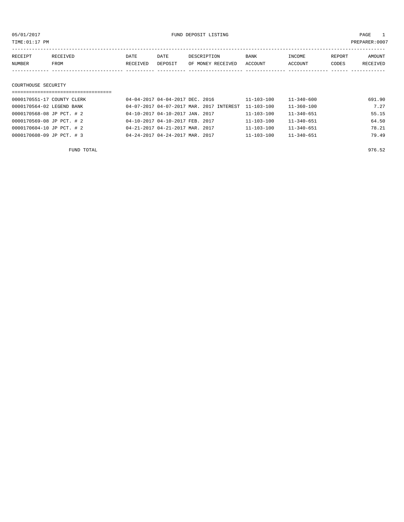| TIME:01:17 PM<br>PREPARER:0007 |          |          |         |                   |         |         |        |          |  |  |
|--------------------------------|----------|----------|---------|-------------------|---------|---------|--------|----------|--|--|
|                                |          |          |         |                   |         |         |        |          |  |  |
| RECEIPT                        | RECEIVED | DATE     | DATE    | DESCRIPTION       | BANK    | INCOME  | REPORT | AMOUNT   |  |  |
| NUMBER                         | FROM     | RECEIVED | DEPOSIT | OF MONEY RECEIVED | ACCOUNT | ACCOUNT | CODES  | RECEIVED |  |  |
|                                |          |          |         |                   |         |         |        |          |  |  |
|                                |          |          |         |                   |         |         |        |          |  |  |
| COURTHOUSE SECURITY            |          |          |         |                   |         |         |        |          |  |  |
|                                |          |          |         |                   |         |         |        |          |  |  |

| 0000170551-17 COUNTY CLERK | 04-04-2017 04-04-2017 DEC. 2016                     | 11-103-100       | 11-340-600       | 691.90 |
|----------------------------|-----------------------------------------------------|------------------|------------------|--------|
| 0000170564-02 LEGEND BANK  | 04-07-2017 04-07-2017 MAR. 2017 INTEREST 11-103-100 |                  | 11-360-100       | 7.27   |
| 0000170568-08 JP PCT. # 2  | 04-10-2017 04-10-2017 JAN. 2017                     | $11 - 103 - 100$ | 11-340-651       | 55.15  |
| 0000170569-08 JP PCT. # 2  | 04-10-2017 04-10-2017 FEB. 2017                     | $11 - 103 - 100$ | $11 - 340 - 651$ | 64.50  |
| 0000170604-10 JP PCT. # 2  | 04-21-2017 04-21-2017 MAR. 2017                     | $11 - 103 - 100$ | $11 - 340 - 651$ | 78.21  |
| 0000170608-09 JP PCT. #3   | 04-24-2017 04-24-2017 MAR. 2017                     | $11 - 103 - 100$ | $11 - 340 - 651$ | 79.49  |
|                            |                                                     |                  |                  |        |

FUND TOTAL 976.52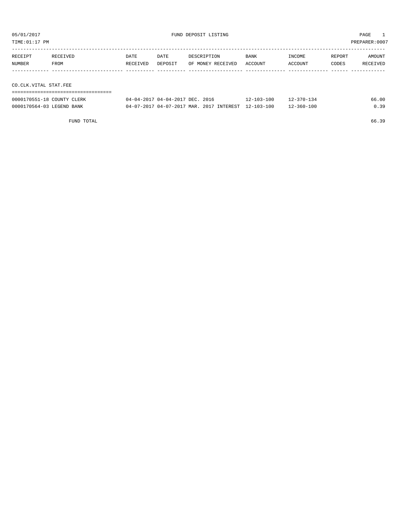TIME:01:17 PM PREPARER:0007

| RECEIPT               | RECEIVED | DATE     | DATE    | DESCRIPTION       | <b>BANK</b> | INCOME  | REPORT | AMOUNT   |
|-----------------------|----------|----------|---------|-------------------|-------------|---------|--------|----------|
| NUMBER                | FROM     | RECEIVED | DEPOSIT | OF MONEY RECEIVED | ACCOUNT     | ACCOUNT | CODES  | RECEIVED |
|                       |          |          |         |                   |             |         |        |          |
|                       |          |          |         |                   |             |         |        |          |
| CO.CLK.VITAL STAT.FEE |          |          |         |                   |             |         |        |          |

| -------------------------------------<br>---------------------------------<br>--- |     |  |
|-----------------------------------------------------------------------------------|-----|--|
|                                                                                   | ЭE. |  |

| 0000170551-18 COUNTY CLERK | 04-04-2017 04-04-2017 DEC. 2016                     | $12 - 103 - 100$ | $12 - 370 - 134$ | 66.00 |
|----------------------------|-----------------------------------------------------|------------------|------------------|-------|
| 0000170564-03 LEGEND BANK  | 04-07-2017 04-07-2017 MAR. 2017 INTEREST 12-103-100 |                  | $12 - 360 - 100$ | 0.39  |

FUND TOTAL 66.39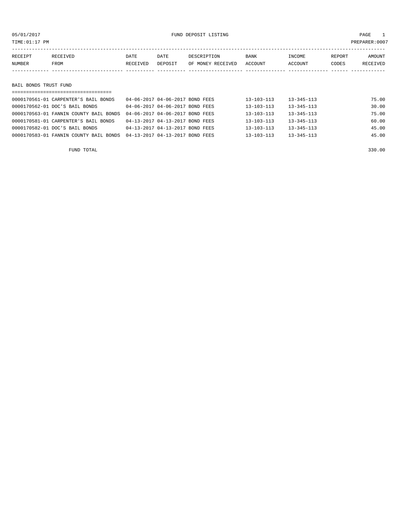# 05/01/2017 FUND DEPOSIT LISTING PAGE 1

| RECEIPT       | RECEIVED | DATE     | DATE    | DESCRIPTION               | BANK | INCOME  | REPORT | AMOUNT   |
|---------------|----------|----------|---------|---------------------------|------|---------|--------|----------|
| <b>NUMBER</b> | FROM     | RECEIVED | DEPOSIT | OF MONEY RECEIVED ACCOUNT |      | ACCOUNT | CODES  | RECEIVED |
|               |          |          |         |                           |      |         |        |          |
|               |          |          |         |                           |      |         |        |          |

## BAIL BONDS TRUST FUND

| ===================================    |                                 |  |                  |                  |       |
|----------------------------------------|---------------------------------|--|------------------|------------------|-------|
| 0000170561-01 CARPENTER'S BAIL BONDS   | 04-06-2017 04-06-2017 BOND FEES |  | $13 - 103 - 113$ | $13 - 345 - 113$ | 75.00 |
| 0000170562-01 DOC'S BAIL BONDS         | 04-06-2017 04-06-2017 BOND FEES |  | $13 - 103 - 113$ | $13 - 345 - 113$ | 30.00 |
| 0000170563-01 FANNIN COUNTY BAIL BONDS | 04-06-2017 04-06-2017 BOND FEES |  | $13 - 103 - 113$ | $13 - 345 - 113$ | 75.00 |
| 0000170581-01 CARPENTER'S BAIL BONDS   | 04-13-2017 04-13-2017 BOND FEES |  | $13 - 103 - 113$ | $13 - 345 - 113$ | 60.00 |
| 0000170582-01 DOC'S BAIL BONDS         | 04-13-2017 04-13-2017 BOND FEES |  | $13 - 103 - 113$ | $13 - 345 - 113$ | 45.00 |
| 0000170583-01 FANNIN COUNTY BAIL BONDS | 04-13-2017 04-13-2017 BOND FEES |  | $13 - 103 - 113$ | $13 - 345 - 113$ | 45.00 |
|                                        |                                 |  |                  |                  |       |

FUND TOTAL 330.00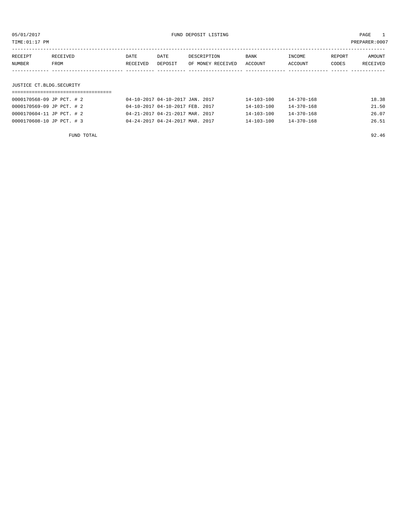| TIME: 01:17 PM            |                  |                  |                                 |                                  |                  |                   |                 | PREPARER:0007             |
|---------------------------|------------------|------------------|---------------------------------|----------------------------------|------------------|-------------------|-----------------|---------------------------|
| RECEIPT<br>NUMBER         | RECEIVED<br>FROM | DATE<br>RECEIVED | DATE<br>DEPOSIT                 | DESCRIPTION<br>OF MONEY RECEIVED | BANK<br>ACCOUNT  | INCOME<br>ACCOUNT | REPORT<br>CODES | AMOUNT<br><b>RECEIVED</b> |
|                           |                  |                  |                                 |                                  |                  |                   |                 |                           |
| JUSTICE CT.BLDG.SECURITY  |                  |                  |                                 |                                  |                  |                   |                 |                           |
|                           |                  |                  |                                 |                                  |                  |                   |                 |                           |
| 0000170568-09 JP PCT. # 2 |                  |                  | 04-10-2017 04-10-2017 JAN. 2017 |                                  | 14-103-100       | $14 - 370 - 168$  |                 | 18.38                     |
| 0000170569-09 JP PCT. # 2 |                  |                  | 04-10-2017 04-10-2017 FEB. 2017 |                                  | $14 - 103 - 100$ | $14 - 370 - 168$  |                 | 21.50                     |

0000170604-11 JP PCT. # 2 04-21-2017 04-21-2017 MAR. 2017 14-103-100 14-370-168 26.07 0000170608-10 JP PCT. # 3 04-24-2017 04-24-2017 MAR. 2017 14-103-100 14-370-168 26.51

|  | 92.46 |
|--|-------|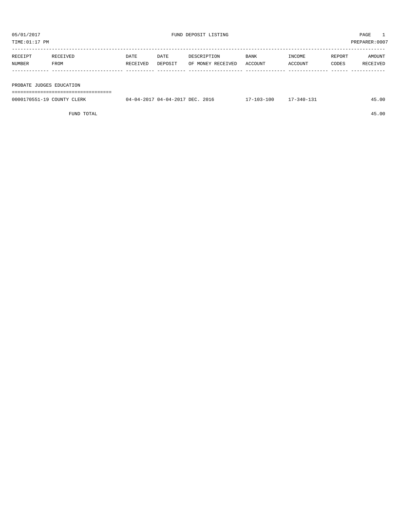| TIME: 01:17 PM<br>PREPARER:0007 |          |          |         |                   |             |         |        |          |
|---------------------------------|----------|----------|---------|-------------------|-------------|---------|--------|----------|
|                                 |          |          |         |                   |             |         |        |          |
| RECEIPT                         | RECEIVED | DATE     | DATE    | DESCRIPTION       | <b>BANK</b> | INCOME  | REPORT | AMOUNT   |
| NUMBER                          | FROM     | RECEIVED | DEPOSIT | OF MONEY RECEIVED | ACCOUNT     | ACCOUNT | CODES  | RECEIVED |
|                                 |          |          |         |                   |             |         |        |          |
|                                 |          |          |         |                   |             |         |        |          |
| PROBATE JUDGES EDUCATION        |          |          |         |                   |             |         |        |          |
|                                 |          |          |         |                   |             |         |        |          |

| 0000170551-19 COUNTY CLERK | 04-04-2017 04-04-2017 DEC. 2016 | 17-103-100 | $17 - 340 - 131$ | 45.00 |
|----------------------------|---------------------------------|------------|------------------|-------|
|                            |                                 |            |                  |       |

FUND TOTAL 45.00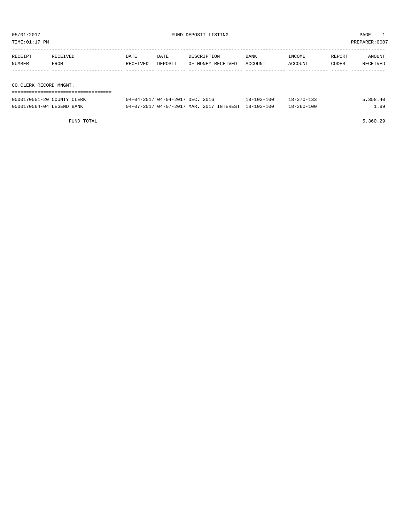| 05/01/2017<br>TIME: 01:17 PM |                                                           |                  |                                 | FUND DEPOSIT LISTING                     | PAGE<br>PREPARER: 0007 |                   |                 |                    |
|------------------------------|-----------------------------------------------------------|------------------|---------------------------------|------------------------------------------|------------------------|-------------------|-----------------|--------------------|
| RECEIPT<br>NUMBER            | <b>RECEIVED</b><br>FROM                                   | DATE<br>RECEIVED | DATE<br>DEPOSIT                 | DESCRIPTION<br>OF MONEY RECEIVED         | BANK<br>ACCOUNT        | INCOME<br>ACCOUNT | REPORT<br>CODES | AMOUNT<br>RECEIVED |
|                              |                                                           |                  |                                 |                                          |                        |                   |                 |                    |
| CO.CLERK RECORD MNGMT.       |                                                           |                  |                                 |                                          |                        |                   |                 |                    |
|                              | ===========================<br>0000170551-20 COUNTY CLERK |                  | 04-04-2017 04-04-2017 DEC. 2016 |                                          | $18 - 103 - 100$       | $18 - 370 - 133$  |                 | 5,358.40           |
| 0000170564-04 LEGEND BANK    |                                                           |                  |                                 | 04-07-2017 04-07-2017 MAR. 2017 INTEREST | $18 - 103 - 100$       | $18 - 360 - 100$  |                 | 1.89               |

FUND TOTAL 5,360.29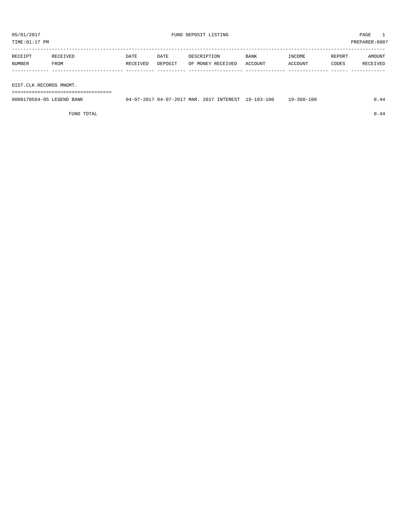TIME:01:17 PM PREPARER:0007

| RECEIPT | RECEIVED | DATE     | DATE    | DESCRIPTION       | <b>BANK</b> | INCOME  | REPORT | AMOUNT   |
|---------|----------|----------|---------|-------------------|-------------|---------|--------|----------|
| NUMBER  | FROM     | RECEIVED | DEPOSIT | OF MONEY RECEIVED | ACCOUNT     | ACCOUNT | CODES  | RECEIVED |
|         |          |          |         |                   |             |         |        |          |

DIST.CLK.RECORDS MNGMT.

===================================

| 0000170564-05 LEGEND BANK | 04-07-2017 04-07-2017 MAR. 2017 INTEREST 19-103-100 |  | $19 - 360 - 100$ | 0.44 |
|---------------------------|-----------------------------------------------------|--|------------------|------|
|                           |                                                     |  |                  |      |

FUND TOTAL  $0.44$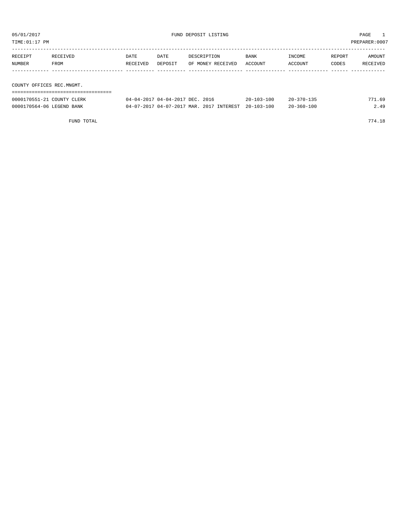| PREPARER: 0007<br>TIME:01:17 PM |          |          |                                 |                   |                  |                  |        |          |  |  |  |
|---------------------------------|----------|----------|---------------------------------|-------------------|------------------|------------------|--------|----------|--|--|--|
| RECEIPT                         | RECEIVED | DATE     | DATE                            | DESCRIPTION       | BANK             | INCOME           | REPORT | AMOUNT   |  |  |  |
| NUMBER                          | FROM     | RECEIVED | DEPOSIT                         | OF MONEY RECEIVED | ACCOUNT          | ACCOUNT          | CODES  | RECEIVED |  |  |  |
|                                 |          |          |                                 |                   |                  |                  |        |          |  |  |  |
| COUNTY OFFICES REC.MNGMT.       |          |          |                                 |                   |                  |                  |        |          |  |  |  |
|                                 |          |          |                                 |                   |                  |                  |        |          |  |  |  |
| 0000170551-21 COUNTY CLERK      |          |          | 04-04-2017 04-04-2017 DEC. 2016 |                   | $20 - 103 - 100$ | $20 - 370 - 135$ |        | 771.69   |  |  |  |

0000170564-06 LEGEND BANK 04-07-2017 04-07-2017 MAR. 2017 INTEREST 20-103-100 20-360-100 20-360-100

FUND TOTAL 774.18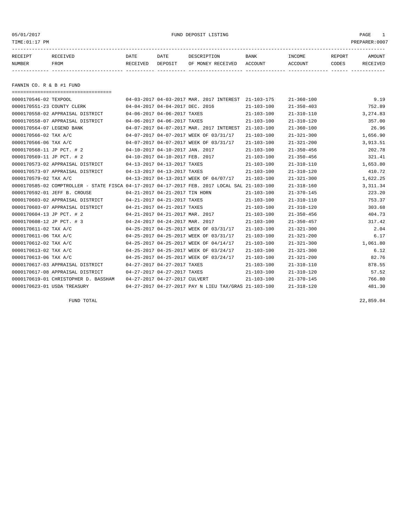05/01/2017 FUND DEPOSIT LISTING PAGE 1

| RECEIPT | <b>RECEIVED</b> | DATE            | DATE    | DESCRIPTION       | <b>BANK</b> | INCOME  | REPORT | AMOUNT   |
|---------|-----------------|-----------------|---------|-------------------|-------------|---------|--------|----------|
| NUMBER  | FROM            | <b>RECEIVED</b> | DEPOSIT | OF MONEY RECEIVED | ACCOUNT     | ACCOUNT | CODES  | RECEIVED |
|         |                 |                 |         |                   |             |         |        |          |

FANNIN CO. R & B #1 FUND

| -------------------------------------                                                        |                                 |                                                      |                  |                  |          |
|----------------------------------------------------------------------------------------------|---------------------------------|------------------------------------------------------|------------------|------------------|----------|
| 0000170546-02 TEXPOOL                                                                        |                                 | 04-03-2017 04-03-2017 MAR. 2017 INTEREST             | 21-103-175       | $21 - 360 - 100$ | 9.19     |
| 0000170551-23 COUNTY CLERK                                                                   | 04-04-2017 04-04-2017 DEC. 2016 |                                                      | $21 - 103 - 100$ | $21 - 350 - 403$ | 752.89   |
| 0000170558-02 APPRAISAL DISTRICT                                                             | 04-06-2017 04-06-2017 TAXES     |                                                      | $21 - 103 - 100$ | $21 - 310 - 110$ | 3,274.83 |
| 0000170558-07 APPRAISAL DISTRICT                                                             | 04-06-2017 04-06-2017 TAXES     |                                                      | $21 - 103 - 100$ | $21 - 310 - 120$ | 357.00   |
| 0000170564-07 LEGEND BANK                                                                    |                                 | 04-07-2017 04-07-2017 MAR. 2017 INTEREST             | $21 - 103 - 100$ | $21 - 360 - 100$ | 26.96    |
| 0000170566-02 TAX A/C                                                                        |                                 | 04-07-2017 04-07-2017 WEEK OF 03/31/17               | $21 - 103 - 100$ | $21 - 321 - 300$ | 1,656.90 |
| 0000170566-06 TAX A/C                                                                        |                                 | 04-07-2017 04-07-2017 WEEK OF 03/31/17               | $21 - 103 - 100$ | $21 - 321 - 200$ | 3,913.51 |
| 0000170568-11 JP PCT. # 2                                                                    | 04-10-2017 04-10-2017 JAN. 2017 |                                                      | $21 - 103 - 100$ | $21 - 350 - 456$ | 202.78   |
| 0000170569-11 JP PCT. # 2                                                                    | 04-10-2017 04-10-2017 FEB. 2017 |                                                      | $21 - 103 - 100$ | $21 - 350 - 456$ | 321.41   |
| 0000170573-02 APPRAISAL DISTRICT                                                             | 04-13-2017 04-13-2017 TAXES     |                                                      | $21 - 103 - 100$ | $21 - 310 - 110$ | 1,653.80 |
| 0000170573-07 APPRAISAL DISTRICT                                                             | 04-13-2017 04-13-2017 TAXES     |                                                      | $21 - 103 - 100$ | $21 - 310 - 120$ | 410.72   |
| 0000170579-02 TAX A/C                                                                        |                                 | 04-13-2017 04-13-2017 WEEK OF 04/07/17               | $21 - 103 - 100$ | $21 - 321 - 300$ | 1,622.25 |
| 0000170585-02 COMPTROLLER - STATE FISCA 04-17-2017 04-17-2017 FEB. 2017 LOCAL SAL 21-103-100 |                                 |                                                      |                  | $21 - 318 - 160$ | 3,311.34 |
| 0000170592-01 JEFF B. CROUSE                                                                 | 04-21-2017 04-21-2017 TIN HORN  |                                                      | $21 - 103 - 100$ | $21 - 370 - 145$ | 223.20   |
| 0000170603-02 APPRAISAL DISTRICT                                                             | 04-21-2017 04-21-2017 TAXES     |                                                      | $21 - 103 - 100$ | $21 - 310 - 110$ | 753.37   |
| 0000170603-07 APPRAISAL DISTRICT                                                             | 04-21-2017 04-21-2017 TAXES     |                                                      | $21 - 103 - 100$ | $21 - 310 - 120$ | 303.68   |
| 0000170604-13 JP PCT. # 2                                                                    | 04-21-2017 04-21-2017 MAR. 2017 |                                                      | $21 - 103 - 100$ | $21 - 350 - 456$ | 404.73   |
| 0000170608-12 JP PCT. # 3                                                                    | 04-24-2017 04-24-2017 MAR. 2017 |                                                      | $21 - 103 - 100$ | $21 - 350 - 457$ | 317.42   |
| 0000170611-02 TAX A/C                                                                        |                                 | 04-25-2017 04-25-2017 WEEK OF 03/31/17               | $21 - 103 - 100$ | $21 - 321 - 300$ | 2.04     |
| 0000170611-06 TAX A/C                                                                        |                                 | 04-25-2017 04-25-2017 WEEK OF 03/31/17               | $21 - 103 - 100$ | $21 - 321 - 200$ | 6.17     |
| 0000170612-02 TAX A/C                                                                        |                                 | 04-25-2017 04-25-2017 WEEK OF 04/14/17               | $21 - 103 - 100$ | $21 - 321 - 300$ | 1,061.80 |
| 0000170613-02 TAX A/C                                                                        |                                 | 04-25-2017 04-25-2017 WEEK OF 03/24/17               | $21 - 103 - 100$ | $21 - 321 - 300$ | 6.12     |
| 0000170613-06 TAX A/C                                                                        |                                 | 04-25-2017 04-25-2017 WEEK OF 03/24/17               | $21 - 103 - 100$ | $21 - 321 - 200$ | 82.76    |
| 0000170617-03 APPRAISAL DISTRICT                                                             | 04-27-2017 04-27-2017 TAXES     |                                                      | $21 - 103 - 100$ | $21 - 310 - 110$ | 878.55   |
| 0000170617-08 APPRAISAL DISTRICT                                                             | 04-27-2017 04-27-2017 TAXES     |                                                      | $21 - 103 - 100$ | $21 - 310 - 120$ | 57.52    |
| 0000170619-01 CHRISTOPHER D. BASSHAM                                                         | 04-27-2017 04-27-2017 CULVERT   |                                                      | $21 - 103 - 100$ | $21 - 370 - 145$ | 766.80   |
| 0000170623-01 USDA TREASURY                                                                  |                                 | 04-27-2017 04-27-2017 PAY N LIEU TAX/GRAS 21-103-100 |                  | $21 - 318 - 120$ | 481.30   |

FUND TOTAL 22,859.04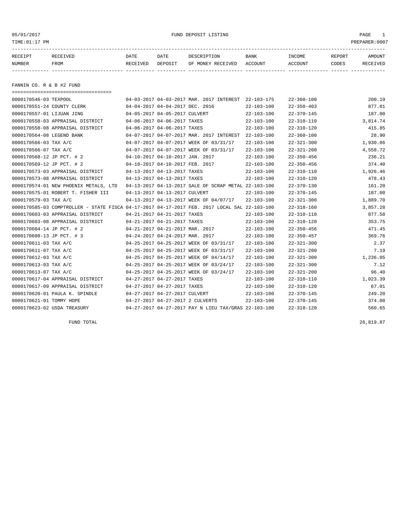05/01/2017 FUND DEPOSIT LISTING PAGE 1

| RECEIPT       | RECEIVED    | DATE     | DATE    | DESCRIPTION               | BANK | <b>TNCOME</b> | REPORT | <b>AMOUNT</b>   |
|---------------|-------------|----------|---------|---------------------------|------|---------------|--------|-----------------|
| <b>NUMBER</b> | <b>FROM</b> | RECEIVED | DEPOSIT | OF MONEY RECEIVED ACCOUNT |      | ACCOUNT       | CODES  | <b>RECEIVED</b> |
|               |             |          |         |                           |      |               |        |                 |

FANNIN CO. R & B #2 FUND

| ======================================                                                       |                                 |                                                      |                  |                  |          |
|----------------------------------------------------------------------------------------------|---------------------------------|------------------------------------------------------|------------------|------------------|----------|
| 0000170546-03 TEXPOOL                                                                        |                                 | 04-03-2017 04-03-2017 MAR. 2017 INTEREST 22-103-175  |                  | $22 - 360 - 100$ | 200.19   |
| 0000170551-24 COUNTY CLERK                                                                   | 04-04-2017 04-04-2017 DEC. 2016 |                                                      | $22 - 103 - 100$ | $22 - 350 - 403$ | 877.01   |
| 0000170557-01 LIJUAN JING                                                                    | 04-05-2017 04-05-2017 CULVERT   |                                                      | $22 - 103 - 100$ | $22 - 370 - 145$ | 187.00   |
| 0000170558-03 APPRAISAL DISTRICT                                                             | 04-06-2017 04-06-2017 TAXES     |                                                      | $22 - 103 - 100$ | $22 - 310 - 110$ | 3,814.74 |
| 0000170558-08 APPRAISAL DISTRICT                                                             | 04-06-2017 04-06-2017 TAXES     |                                                      | $22 - 103 - 100$ | $22 - 310 - 120$ | 415.85   |
| 0000170564-08 LEGEND BANK                                                                    |                                 | 04-07-2017 04-07-2017 MAR. 2017 INTEREST             | $22 - 103 - 100$ | $22 - 360 - 100$ | 28.90    |
| 0000170566-03 TAX A/C                                                                        |                                 | 04-07-2017 04-07-2017 WEEK OF 03/31/17               | $22 - 103 - 100$ | $22 - 321 - 300$ | 1,930.06 |
| 0000170566-07 TAX A/C                                                                        |                                 | 04-07-2017 04-07-2017 WEEK OF 03/31/17               | $22 - 103 - 100$ | $22 - 321 - 200$ | 4,558.72 |
| 0000170568-12 JP PCT. # 2                                                                    | 04-10-2017 04-10-2017 JAN. 2017 |                                                      | $22 - 103 - 100$ | $22 - 350 - 456$ | 236.21   |
| 0000170569-12 JP PCT. # 2                                                                    | 04-10-2017 04-10-2017 FEB. 2017 |                                                      | $22 - 103 - 100$ | $22 - 350 - 456$ | 374.40   |
| 0000170573-03 APPRAISAL DISTRICT                                                             | 04-13-2017 04-13-2017 TAXES     |                                                      | $22 - 103 - 100$ | $22 - 310 - 110$ | 1,926.46 |
| 0000170573-08 APPRAISAL DISTRICT                                                             | 04-13-2017 04-13-2017 TAXES     |                                                      | $22 - 103 - 100$ | $22 - 310 - 120$ | 478.43   |
| 0000170574-01 NEW PHOENIX METALS, LTD                                                        |                                 | 04-13-2017 04-13-2017 SALE OF SCRAP METAL 22-103-100 |                  | $22 - 370 - 130$ | 161.20   |
| 0000170575-01 ROBERT T. FISHER III                                                           | 04-13-2017 04-13-2017 CULVERT   |                                                      | $22 - 103 - 100$ | $22 - 370 - 145$ | 187.00   |
| 0000170579-03 TAX A/C                                                                        |                                 | 04-13-2017 04-13-2017 WEEK OF 04/07/17               | $22 - 103 - 100$ | $22 - 321 - 300$ | 1,889.70 |
| 0000170585-03 COMPTROLLER - STATE FISCA 04-17-2017 04-17-2017 FEB. 2017 LOCAL SAL 22-103-100 |                                 |                                                      |                  | $22 - 318 - 160$ | 3,857.28 |
| 0000170603-03 APPRAISAL DISTRICT                                                             | 04-21-2017 04-21-2017 TAXES     |                                                      | $22 - 103 - 100$ | $22 - 310 - 110$ | 877.58   |
| 0000170603-08 APPRAISAL DISTRICT                                                             | 04-21-2017 04-21-2017 TAXES     |                                                      | $22 - 103 - 100$ | $22 - 310 - 120$ | 353.75   |
| 0000170604-14 JP PCT. # 2                                                                    | 04-21-2017 04-21-2017 MAR. 2017 |                                                      | $22 - 103 - 100$ | $22 - 350 - 456$ | 471.45   |
| 0000170608-13 JP PCT. # 3                                                                    | 04-24-2017 04-24-2017 MAR. 2017 |                                                      | $22 - 103 - 100$ | $22 - 350 - 457$ | 369.76   |
| 0000170611-03 TAX A/C                                                                        |                                 | 04-25-2017 04-25-2017 WEEK OF 03/31/17               | $22 - 103 - 100$ | $22 - 321 - 300$ | 2.37     |
| 0000170611-07 TAX A/C                                                                        |                                 | 04-25-2017 04-25-2017 WEEK OF 03/31/17               | $22 - 103 - 100$ | $22 - 321 - 200$ | 7.19     |
| 0000170612-03 TAX A/C                                                                        |                                 | 04-25-2017 04-25-2017 WEEK OF 04/14/17               | $22 - 103 - 100$ | $22 - 321 - 300$ | 1,236.85 |
| 0000170613-03 TAX A/C                                                                        |                                 | 04-25-2017 04-25-2017 WEEK OF 03/24/17               | $22 - 103 - 100$ | $22 - 321 - 300$ | 7.12     |
| 0000170613-07 TAX A/C                                                                        |                                 | 04-25-2017 04-25-2017 WEEK OF 03/24/17               | $22 - 103 - 100$ | $22 - 321 - 200$ | 96.40    |
| 0000170617-04 APPRAISAL DISTRICT                                                             | 04-27-2017 04-27-2017 TAXES     |                                                      | $22 - 103 - 100$ | $22 - 310 - 110$ | 1,023.39 |
| 0000170617-09 APPRAISAL DISTRICT                                                             | 04-27-2017 04-27-2017 TAXES     |                                                      | $22 - 103 - 100$ | $22 - 310 - 120$ | 67.01    |
| 0000170620-01 PAULA K. SPINDLE                                                               | 04-27-2017 04-27-2017 CULVERT   |                                                      | $22 - 103 - 100$ | $22 - 370 - 145$ | 249.20   |
| 0000170621-01 TOMMY HOPE                                                                     |                                 | 04-27-2017 04-27-2017 2 CULVERTS                     | $22 - 103 - 100$ | $22 - 370 - 145$ | 374.00   |
| 0000170623-02 USDA TREASURY                                                                  |                                 | 04-27-2017 04-27-2017 PAY N LIEU TAX/GRAS 22-103-100 |                  | $22 - 318 - 120$ | 560.65   |

FUND TOTAL  $26,819.87$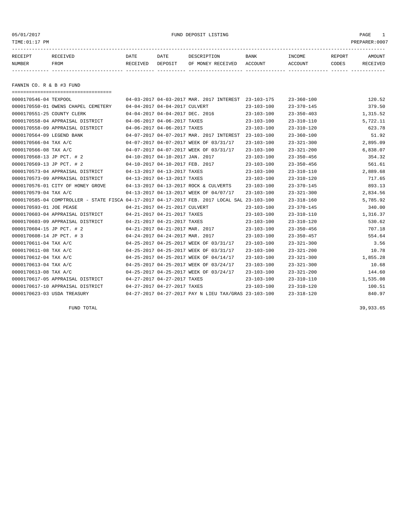05/01/2017 FUND DEPOSIT LISTING PAGE 1

| RECEIPT | RECEIVED | <b>DATE</b> | DATE    | DESCRIPTION       | <b>BANK</b> | INCOME  | REPORT | <b>AMOUNT</b> |
|---------|----------|-------------|---------|-------------------|-------------|---------|--------|---------------|
| NUMBER  | FROM     | RECEIVED    | DEPOSIT | OF MONEY RECEIVED | ACCOUNT     | ACCOUNT | CODES  | RECEIVED      |
|         |          |             |         |                   |             |         |        |               |
|         |          |             |         |                   |             |         |        |               |

FANNIN CO. R & B #3 FUND

| =====================================                                                        |                                 |                                             |                                                      |                  |                  |          |
|----------------------------------------------------------------------------------------------|---------------------------------|---------------------------------------------|------------------------------------------------------|------------------|------------------|----------|
| 0000170546-04 TEXPOOL                                                                        |                                 |                                             | 04-03-2017 04-03-2017 MAR. 2017 INTEREST             | 23-103-175       | $23 - 360 - 100$ | 120.52   |
| 0000170550-01 OWENS CHAPEL CEMETERY                                                          | 04-04-2017 04-04-2017 CULVERT   |                                             |                                                      | $23 - 103 - 100$ | $23 - 370 - 145$ | 379.50   |
| 0000170551-25 COUNTY CLERK                                                                   | 04-04-2017 04-04-2017 DEC. 2016 |                                             |                                                      | $23 - 103 - 100$ | $23 - 350 - 403$ | 1,315.52 |
| 0000170558-04 APPRAISAL DISTRICT                                                             | 04-06-2017 04-06-2017 TAXES     |                                             |                                                      | $23 - 103 - 100$ | $23 - 310 - 110$ | 5,722.11 |
| 0000170558-09 APPRAISAL DISTRICT                                                             | 04-06-2017 04-06-2017 TAXES     |                                             |                                                      | $23 - 103 - 100$ | $23 - 310 - 120$ | 623.78   |
| 0000170564-09 LEGEND BANK                                                                    |                                 |                                             | 04-07-2017 04-07-2017 MAR. 2017 INTEREST             | $23 - 103 - 100$ | $23 - 360 - 100$ | 51.92    |
| 0000170566-04 TAX A/C                                                                        |                                 |                                             | 04-07-2017 04-07-2017 WEEK OF 03/31/17               | $23 - 103 - 100$ | $23 - 321 - 300$ | 2,895.09 |
| 0000170566-08 TAX A/C                                                                        |                                 |                                             | 04-07-2017 04-07-2017 WEEK OF 03/31/17               | $23 - 103 - 100$ | $23 - 321 - 200$ | 6,838.07 |
| 0000170568-13 JP PCT. # 2                                                                    | 04-10-2017 04-10-2017 JAN. 2017 |                                             |                                                      | $23 - 103 - 100$ | $23 - 350 - 456$ | 354.32   |
| 0000170569-13 JP PCT. # 2                                                                    | 04-10-2017 04-10-2017 FEB. 2017 |                                             |                                                      | $23 - 103 - 100$ | $23 - 350 - 456$ | 561.61   |
| 0000170573-04 APPRAISAL DISTRICT                                                             | 04-13-2017 04-13-2017 TAXES     |                                             |                                                      | $23 - 103 - 100$ | $23 - 310 - 110$ | 2,889.68 |
| 0000170573-09 APPRAISAL DISTRICT                                                             | 04-13-2017 04-13-2017 TAXES     |                                             |                                                      | $23 - 103 - 100$ | $23 - 310 - 120$ | 717.65   |
| 0000170576-01 CITY OF HONEY GROVE                                                            |                                 |                                             | 04-13-2017 04-13-2017 ROCK & CULVERTS                | $23 - 103 - 100$ | $23 - 370 - 145$ | 893.13   |
| 0000170579-04 TAX A/C                                                                        |                                 |                                             | 04-13-2017 04-13-2017 WEEK OF 04/07/17               | $23 - 103 - 100$ | $23 - 321 - 300$ | 2,834.56 |
| 0000170585-04 COMPTROLLER - STATE FISCA 04-17-2017 04-17-2017 FEB. 2017 LOCAL SAL 23-103-100 |                                 |                                             |                                                      |                  | $23 - 318 - 160$ | 5,785.92 |
| 0000170593-01 JOE PEASE                                                                      | 04-21-2017 04-21-2017 CULVERT   |                                             |                                                      | $23 - 103 - 100$ | $23 - 370 - 145$ | 340.00   |
| 0000170603-04 APPRAISAL DISTRICT                                                             |                                 | 04-21-2017 04-21-2017 TAXES                 |                                                      | $23 - 103 - 100$ | $23 - 310 - 110$ | 1,316.37 |
| 0000170603-09 APPRAISAL DISTRICT                                                             | 04-21-2017 04-21-2017 TAXES     |                                             |                                                      | $23 - 103 - 100$ | $23 - 310 - 120$ | 530.62   |
| 0000170604-15 JP PCT. # 2                                                                    |                                 | $04 - 21 - 2017$ $04 - 21 - 2017$ MAR, 2017 |                                                      | $23 - 103 - 100$ | $23 - 350 - 456$ | 707.18   |
| 0000170608-14 JP PCT. # 3                                                                    | 04-24-2017 04-24-2017 MAR. 2017 |                                             |                                                      | $23 - 103 - 100$ | $23 - 350 - 457$ | 554.64   |
| 0000170611-04 TAX A/C                                                                        |                                 |                                             | 04-25-2017 04-25-2017 WEEK OF 03/31/17               | $23 - 103 - 100$ | $23 - 321 - 300$ | 3.56     |
| 0000170611-08 TAX A/C                                                                        |                                 |                                             | 04-25-2017 04-25-2017 WEEK OF 03/31/17               | $23 - 103 - 100$ | $23 - 321 - 200$ | 10.78    |
| 0000170612-04 TAX A/C                                                                        |                                 |                                             | 04-25-2017 04-25-2017 WEEK OF 04/14/17               | $23 - 103 - 100$ | $23 - 321 - 300$ | 1,855.28 |
| 0000170613-04 TAX A/C                                                                        |                                 |                                             | 04-25-2017 04-25-2017 WEEK OF 03/24/17               | $23 - 103 - 100$ | $23 - 321 - 300$ | 10.68    |
| 0000170613-08 TAX A/C                                                                        |                                 |                                             | 04-25-2017 04-25-2017 WEEK OF 03/24/17               | $23 - 103 - 100$ | $23 - 321 - 200$ | 144.60   |
| 0000170617-05 APPRAISAL DISTRICT                                                             | 04-27-2017 04-27-2017 TAXES     |                                             |                                                      | $23 - 103 - 100$ | $23 - 310 - 110$ | 1,535.08 |
| 0000170617-10 APPRAISAL DISTRICT                                                             | 04-27-2017 04-27-2017 TAXES     |                                             |                                                      | 23-103-100       | $23 - 310 - 120$ | 100.51   |
| 0000170623-03 USDA TREASURY                                                                  |                                 |                                             | 04-27-2017 04-27-2017 PAY N LIEU TAX/GRAS 23-103-100 |                  | $23 - 318 - 120$ | 840.97   |

FUND TOTAL  $39,933.65$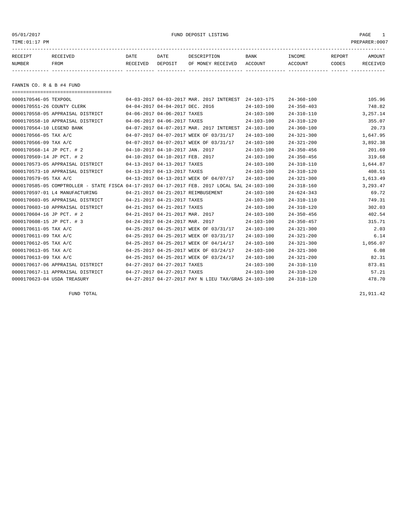05/01/2017 FUND DEPOSIT LISTING PAGE 1

| RECEIPT | <b>RECEIVED</b> | DATE     | DATE    | DESCRIPTION       | BANK    | INCOME  | <b>REPORT</b> | AMOUNT          |
|---------|-----------------|----------|---------|-------------------|---------|---------|---------------|-----------------|
| NUMBER  | FROM            | RECEIVED | DEPOSIT | OF MONEY RECEIVED | ACCOUNT | ACCOUNT | CODES         | <b>RECEIVED</b> |
|         |                 |          |         |                   |         |         |               |                 |

FANNIN CO. R & B #4 FUND

| =====================================                                                        |                                 |                                 |                                                      |                  |                  |          |
|----------------------------------------------------------------------------------------------|---------------------------------|---------------------------------|------------------------------------------------------|------------------|------------------|----------|
| 0000170546-05 TEXPOOL                                                                        |                                 |                                 | 04-03-2017 04-03-2017 MAR. 2017 INTEREST             | $24 - 103 - 175$ | $24 - 360 - 100$ | 105.96   |
| 0000170551-26 COUNTY CLERK                                                                   |                                 | 04-04-2017 04-04-2017 DEC. 2016 |                                                      | $24 - 103 - 100$ | $24 - 350 - 403$ | 748.82   |
| 0000170558-05 APPRAISAL DISTRICT                                                             |                                 | 04-06-2017 04-06-2017 TAXES     |                                                      | $24 - 103 - 100$ | $24 - 310 - 110$ | 3,257.14 |
| 0000170558-10 APPRAISAL DISTRICT                                                             |                                 | 04-06-2017 04-06-2017 TAXES     |                                                      | $24 - 103 - 100$ | $24 - 310 - 120$ | 355.07   |
| 0000170564-10 LEGEND BANK                                                                    |                                 |                                 | 04-07-2017 04-07-2017 MAR, 2017 INTEREST             | $24 - 103 - 100$ | $24 - 360 - 100$ | 20.73    |
| 0000170566-05 TAX A/C                                                                        |                                 |                                 | 04-07-2017 04-07-2017 WEEK OF 03/31/17               | $24 - 103 - 100$ | $24 - 321 - 300$ | 1,647.95 |
| 0000170566-09 TAX A/C                                                                        |                                 |                                 | 04-07-2017 04-07-2017 WEEK OF 03/31/17               | $24 - 103 - 100$ | $24 - 321 - 200$ | 3,892.38 |
| 0000170568-14 JP PCT. # 2                                                                    |                                 | 04-10-2017 04-10-2017 JAN. 2017 |                                                      | $24 - 103 - 100$ | $24 - 350 - 456$ | 201.69   |
| 0000170569-14 JP PCT. # 2                                                                    | 04-10-2017 04-10-2017 FEB. 2017 |                                 |                                                      | $24 - 103 - 100$ | $24 - 350 - 456$ | 319.68   |
| 0000170573-05 APPRAISAL DISTRICT                                                             | 04-13-2017 04-13-2017 TAXES     |                                 |                                                      | $24 - 103 - 100$ | $24 - 310 - 110$ | 1,644.87 |
| 0000170573-10 APPRAISAL DISTRICT                                                             | 04-13-2017 04-13-2017 TAXES     |                                 |                                                      | $24 - 103 - 100$ | $24 - 310 - 120$ | 408.51   |
| 0000170579-05 TAX A/C                                                                        |                                 |                                 | 04-13-2017 04-13-2017 WEEK OF 04/07/17               | $24 - 103 - 100$ | $24 - 321 - 300$ | 1,613.49 |
| 0000170585-05 COMPTROLLER - STATE FISCA 04-17-2017 04-17-2017 FEB. 2017 LOCAL SAL 24-103-100 |                                 |                                 |                                                      |                  | $24 - 318 - 160$ | 3,293.47 |
| 0000170597-01 L4 MANUFACTURING                                                               |                                 |                                 | 04-21-2017 04-21-2017 REIMBUSEMENT                   | $24 - 103 - 100$ | $24 - 624 - 343$ | 69.72    |
| 0000170603-05 APPRAISAL DISTRICT                                                             |                                 | 04-21-2017 04-21-2017 TAXES     |                                                      | $24 - 103 - 100$ | $24 - 310 - 110$ | 749.31   |
| 0000170603-10 APPRAISAL DISTRICT                                                             |                                 | 04-21-2017 04-21-2017 TAXES     |                                                      | $24 - 103 - 100$ | $24 - 310 - 120$ | 302.03   |
| 0000170604-16 JP PCT. # 2                                                                    |                                 | 04-21-2017 04-21-2017 MAR. 2017 |                                                      | $24 - 103 - 100$ | $24 - 350 - 456$ | 402.54   |
| 0000170608-15 JP PCT. # 3                                                                    | 04-24-2017 04-24-2017 MAR. 2017 |                                 |                                                      | $24 - 103 - 100$ | $24 - 350 - 457$ | 315.71   |
| 0000170611-05 TAX A/C                                                                        |                                 |                                 | 04-25-2017 04-25-2017 WEEK OF 03/31/17               | $24 - 103 - 100$ | $24 - 321 - 300$ | 2.03     |
| 0000170611-09 TAX A/C                                                                        |                                 |                                 | 04-25-2017 04-25-2017 WEEK OF 03/31/17               | $24 - 103 - 100$ | $24 - 321 - 200$ | 6.14     |
| 0000170612-05 TAX A/C                                                                        |                                 |                                 | 04-25-2017 04-25-2017 WEEK OF 04/14/17               | $24 - 103 - 100$ | $24 - 321 - 300$ | 1,056.07 |
| 0000170613-05 TAX A/C                                                                        |                                 |                                 | 04-25-2017 04-25-2017 WEEK OF 03/24/17               | $24 - 103 - 100$ | $24 - 321 - 300$ | 6.08     |
| 0000170613-09 TAX A/C                                                                        |                                 |                                 | 04-25-2017 04-25-2017 WEEK OF 03/24/17               | $24 - 103 - 100$ | $24 - 321 - 200$ | 82.31    |
| 0000170617-06 APPRAISAL DISTRICT                                                             | 04-27-2017 04-27-2017 TAXES     |                                 |                                                      | $24 - 103 - 100$ | $24 - 310 - 110$ | 873.81   |
| 0000170617-11 APPRAISAL DISTRICT                                                             |                                 | 04-27-2017 04-27-2017 TAXES     |                                                      | $24 - 103 - 100$ | $24 - 310 - 120$ | 57.21    |
| 0000170623-04 USDA TREASURY                                                                  |                                 |                                 | 04-27-2017 04-27-2017 PAY N LIEU TAX/GRAS 24-103-100 |                  | $24 - 318 - 120$ | 478.70   |

FUND TOTAL  $21,911.42$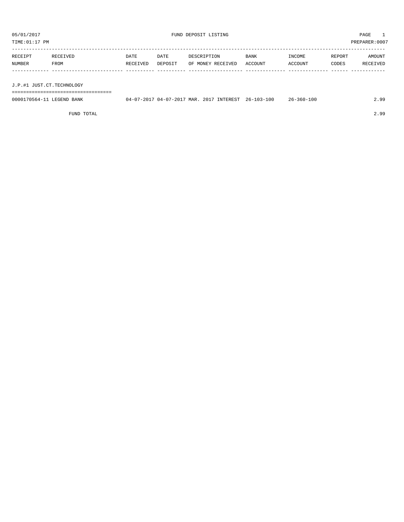| TIME:01:17 PM             |          |          |         |                   |         |         |        | PREPARER: 0007 |
|---------------------------|----------|----------|---------|-------------------|---------|---------|--------|----------------|
| RECEIPT                   | RECEIVED | DATE     | DATE    | DESCRIPTION       | BANK    | INCOME  | REPORT | AMOUNT         |
| NUMBER                    | FROM     | RECEIVED | DEPOSIT | OF MONEY RECEIVED | ACCOUNT | ACCOUNT | CODES  | RECEIVED       |
|                           |          |          |         |                   |         |         |        |                |
| J.P.#1 JUST.CT.TECHNOLOGY |          |          |         |                   |         |         |        |                |

0000170564-11 LEGEND BANK 04-07-2017 04-07-2017 MAR. 2017 INTEREST 26-103-100 26-360-100 2.99

FUND TOTAL 2.99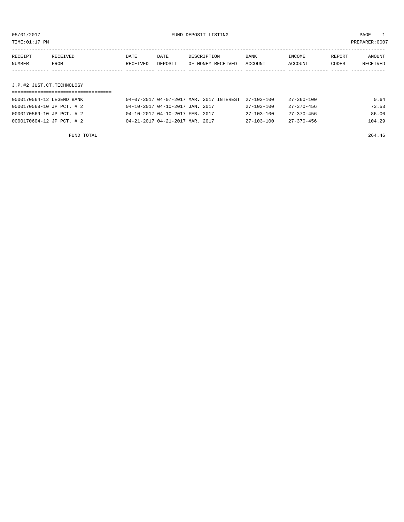| TIME:01:17 PM |                           |          |         |                                          |                  |            | PREPARER:0007 |          |  |
|---------------|---------------------------|----------|---------|------------------------------------------|------------------|------------|---------------|----------|--|
|               |                           |          |         |                                          |                  |            |               |          |  |
| RECEIPT       | RECEIVED                  | DATE     | DATE    | DESCRIPTION                              | BANK             | INCOME     | REPORT        | AMOUNT   |  |
| NUMBER        | FROM                      | RECEIVED | DEPOSIT | OF MONEY RECEIVED                        | ACCOUNT          | ACCOUNT    | CODES         | RECEIVED |  |
|               |                           |          |         |                                          |                  |            |               |          |  |
|               |                           |          |         |                                          |                  |            |               |          |  |
|               | J.P.#2 JUST.CT.TECHNOLOGY |          |         |                                          |                  |            |               |          |  |
|               |                           |          |         |                                          |                  |            |               |          |  |
|               | 0000170564-12 LEGEND BANK |          |         | 04-07-2017 04-07-2017 MAR. 2017 INTEREST | $27 - 103 - 100$ | 27-360-100 |               | 0.64     |  |

| UUUUI7U564-12 LEGEND BANK | 04-07-2017 04-07-2017 MAR. 2017 INTEREST 27-103-100 |                  | 27-360-100       | U.64   |
|---------------------------|-----------------------------------------------------|------------------|------------------|--------|
| 0000170568-10 JP PCT. # 2 | 04-10-2017 04-10-2017 JAN. 2017                     | $27 - 103 - 100$ | $27 - 370 - 456$ | 73.53  |
| 0000170569-10 JP PCT. # 2 | 04-10-2017 04-10-2017 FEB. 2017                     | $27 - 103 - 100$ | $27 - 370 - 456$ | 86.00  |
| 0000170604-12 JP PCT. # 2 | 04-21-2017 04-21-2017 MAR. 2017                     | 27-103-100       | $27 - 370 - 456$ | 104.29 |
|                           |                                                     |                  |                  |        |

FUND TOTAL 264.46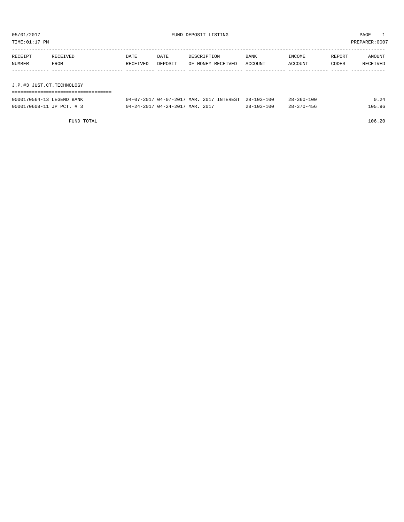| TIME:01:17 PM             |                  |                  |                                 |                                          |                  |                   |                 | PREPARER: 0007     |
|---------------------------|------------------|------------------|---------------------------------|------------------------------------------|------------------|-------------------|-----------------|--------------------|
| RECEIPT<br>NUMBER         | RECEIVED<br>FROM | DATE<br>RECEIVED | DATE<br>DEPOSIT                 | DESCRIPTION<br>OF MONEY RECEIVED         | BANK<br>ACCOUNT  | INCOME<br>ACCOUNT | REPORT<br>CODES | AMOUNT<br>RECEIVED |
| J.P.#3 JUST.CT.TECHNOLOGY |                  |                  |                                 |                                          |                  |                   |                 |                    |
|                           |                  |                  |                                 |                                          |                  |                   |                 |                    |
| 0000170564-13 LEGEND BANK |                  |                  |                                 | 04-07-2017 04-07-2017 MAR. 2017 INTEREST | $28 - 103 - 100$ | $28 - 360 - 100$  |                 | 0.24               |
| 0000170608-11 JP PCT. # 3 |                  |                  | 04-24-2017 04-24-2017 MAR, 2017 |                                          | $28 - 103 - 100$ | $28 - 370 - 456$  |                 | 105.96             |

FUND TOTAL 106.20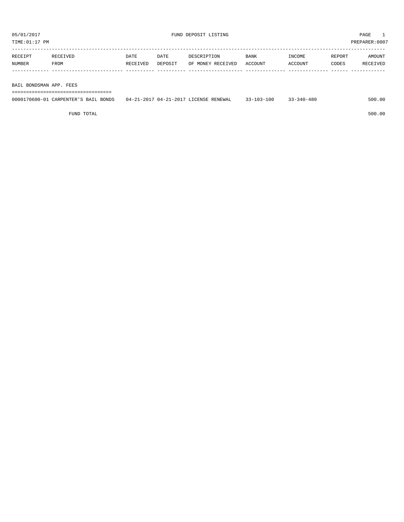| RECEIPT | RECEIVED | DATE     | DATE    | DESCRIPTION       | <b>BANK</b> | <b>INCOME</b> | REPORT | AMOUNT          |
|---------|----------|----------|---------|-------------------|-------------|---------------|--------|-----------------|
| NUMBER  | FROM     | RECEIVED | DEPOSIT | OF MONEY RECEIVED | ACCOUNT     | ACCOUNT       | CODES  | <b>RECEIVED</b> |
|         |          |          |         |                   |             |               |        |                 |

BAIL BONDSMAN APP. FEES

===================================

| 0000170600-01 CARPENTER'S BAIL BONDS | 04-21-2017 04-21-2017 LICENSE RENEWAL | 33-103-100 | $33 - 340 - 480$ | 500.00 |
|--------------------------------------|---------------------------------------|------------|------------------|--------|
|                                      |                                       |            |                  |        |

FUND TOTAL 500.00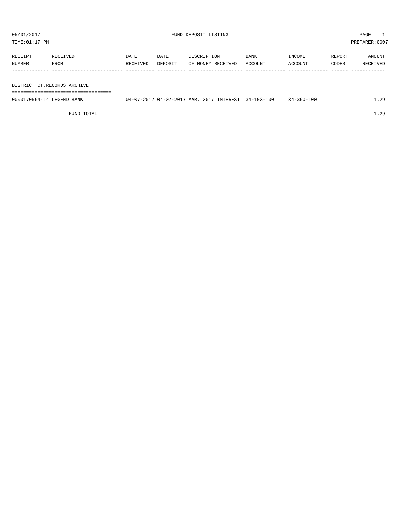TIME:01:17 PM PREPARER:0007

| RECEIPT | RECEIVED | DATE     | DATE    | DESCRIPTION       | <b>BANK</b> | INCOME  | REPORT | AMOUNT   |
|---------|----------|----------|---------|-------------------|-------------|---------|--------|----------|
| NUMBER  | FROM     | RECEIVED | DEPOSIT | OF MONEY RECEIVED | ACCOUNT     | ACCOUNT | CODES  | RECEIVED |
|         |          |          |         |                   |             |         |        |          |

#### DISTRICT CT.RECORDS ARCHIVE

===================================

| 0000170564-14 LEGEND BANK | 04-07-2017 MAR.<br>$J - 2017$<br>በ4– | 2017 INTEREST | $34 - 103 - 100$ | $34 - 360 - 100$ | $\Omega$ |
|---------------------------|--------------------------------------|---------------|------------------|------------------|----------|
|                           |                                      |               |                  |                  |          |

FUND TOTAL 1.29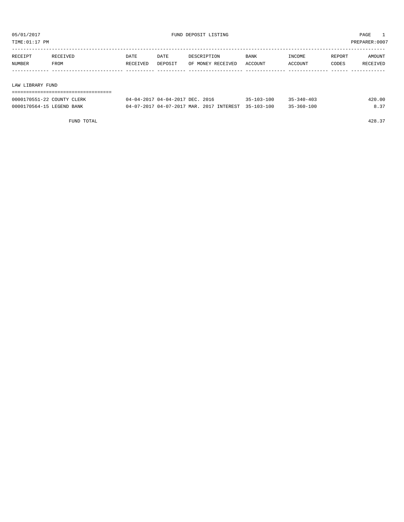| TIME: 01:17 PM |                  |          |          |         |                   |             |         | PREPARER:0007 |          |
|----------------|------------------|----------|----------|---------|-------------------|-------------|---------|---------------|----------|
|                |                  |          |          |         |                   |             |         |               |          |
|                | RECEIPT          | RECEIVED | DATE     | DATE    | DESCRIPTION       | <b>BANK</b> | INCOME  | REPORT        | AMOUNT   |
|                | NUMBER           | FROM     | RECEIVED | DEPOSIT | OF MONEY RECEIVED | ACCOUNT     | ACCOUNT | CODES         | RECEIVED |
|                |                  |          |          |         |                   |             |         |               |          |
|                |                  |          |          |         |                   |             |         |               |          |
|                | LAW LIBRARY FUND |          |          |         |                   |             |         |               |          |
|                |                  |          |          |         |                   |             |         |               |          |

| 0000170551-22 COUNTY CLERK | 04-04-2017 04-04-2017 DEC. 2016                     | $35 - 103 - 100$ | $35 - 340 - 403$ | 420.00 |
|----------------------------|-----------------------------------------------------|------------------|------------------|--------|
| 0000170564-15 LEGEND BANK  | 04-07-2017 04-07-2017 MAR. 2017 INTEREST 35-103-100 |                  | $35 - 360 - 100$ | 8.37   |

FUND TOTAL 428.37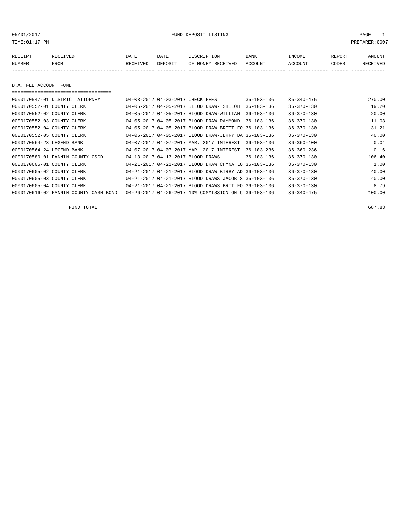05/01/2017 FUND DEPOSIT LISTING PAGE 1

| RECEIPT | RECEIVED | DATE     | DATE    | DESCRIPTION       | <b>BANK</b> | INCOME  | REPORT | AMOUNT   |
|---------|----------|----------|---------|-------------------|-------------|---------|--------|----------|
| NUMBER  | FROM     | RECEIVED | DEPOSIT | OF MONEY RECEIVED | ACCOUNT     | ACCOUNT | CODES  | RECEIVED |
|         |          |          |         |                   |             |         |        |          |

D.A. FEE ACCOUNT FUND

===================================

| 0000170547-01 DISTRICT ATTORNEY       | 04-03-2017 04-03-2017 CHECK FEES  |                                                      | 36-103-136       | $36 - 340 - 475$ | 270.00 |
|---------------------------------------|-----------------------------------|------------------------------------------------------|------------------|------------------|--------|
| 0000170552-01 COUNTY CLERK            |                                   | 04-05-2017 04-05-2017 BLLOD DRAW- SHILOH             | $36 - 103 - 136$ | $36 - 370 - 130$ | 19.20  |
| 0000170552-02 COUNTY CLERK            |                                   | 04-05-2017 04-05-2017 BLOOD DRAW-WILLIAM             | $36 - 103 - 136$ | $36 - 370 - 130$ | 20.00  |
| 0000170552-03 COUNTY CLERK            |                                   | 04-05-2017 04-05-2017 BLOOD DRAW-RAYMOND             | $36 - 103 - 136$ | $36 - 370 - 130$ | 11.03  |
| 0000170552-04 COUNTY CLERK            |                                   | 04-05-2017 04-05-2017 BLOOD DRAW-BRITT FO 36-103-136 |                  | $36 - 370 - 130$ | 31.21  |
| 0000170552-05 COUNTY CLERK            |                                   | 04-05-2017 04-05-2017 BLOOD DRAW-JERRY DA 36-103-136 |                  | $36 - 370 - 130$ | 40.00  |
| 0000170564-23 LEGEND BANK             |                                   | 04-07-2017 04-07-2017 MAR. 2017 INTEREST             | $36 - 103 - 136$ | $36 - 360 - 100$ | 0.04   |
| 0000170564-24 LEGEND BANK             |                                   | 04-07-2017 04-07-2017 MAR. 2017 INTEREST             | $36 - 103 - 236$ | $36 - 360 - 236$ | 0.16   |
| 0000170580-01 FANNIN COUNTY CSCD      | 04-13-2017 04-13-2017 BLOOD DRAWS |                                                      | 36-103-136       | $36 - 370 - 130$ | 106.40 |
| 0000170605-01 COUNTY CLERK            |                                   | 04-21-2017 04-21-2017 BLOOD DRAW CHYNA LO 36-103-136 |                  | $36 - 370 - 130$ | 1.00   |
| 0000170605-02 COUNTY CLERK            |                                   | 04-21-2017 04-21-2017 BLOOD DRAW KIRBY AD 36-103-136 |                  | $36 - 370 - 130$ | 40.00  |
| 0000170605-03 COUNTY CLERK            |                                   | 04-21-2017 04-21-2017 BLOOD DRAWS JACOB S 36-103-136 |                  | $36 - 370 - 130$ | 40.00  |
| 0000170605-04 COUNTY CLERK            |                                   | 04-21-2017 04-21-2017 BLOOD DRAWS BRIT FO 36-103-136 |                  | $36 - 370 - 130$ | 8.79   |
| 0000170616-02 FANNIN COUNTY CASH BOND |                                   | 04-26-2017 04-26-2017 10% COMMISSION ON C 36-103-136 |                  | $36 - 340 - 475$ | 100.00 |

FUND TOTAL 687.83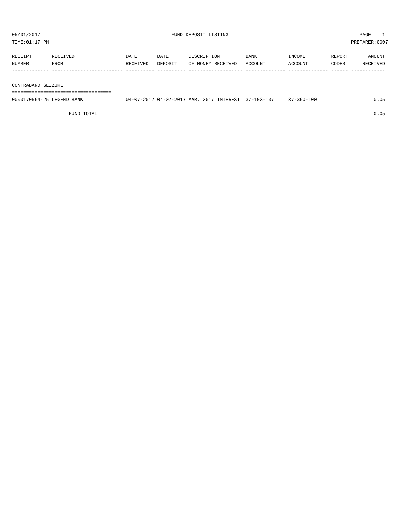| TIME: 01:17 PM     |          |          |         |                   |             |         |        | PREPARER:0007 |
|--------------------|----------|----------|---------|-------------------|-------------|---------|--------|---------------|
|                    |          |          |         |                   |             |         |        |               |
| RECEIPT            | RECEIVED | DATE     | DATE    | DESCRIPTION       | <b>BANK</b> | INCOME  | REPORT | AMOUNT        |
| NUMBER             | FROM     | RECEIVED | DEPOSIT | OF MONEY RECEIVED | ACCOUNT     | ACCOUNT | CODES  | RECEIVED      |
|                    |          |          |         |                   |             |         |        |               |
|                    |          |          |         |                   |             |         |        |               |
| CONTRABAND SEIZURE |          |          |         |                   |             |         |        |               |
|                    |          |          |         |                   |             |         |        |               |

===================================

| 0000170564-25 LEGEND BANK | 04-07-2017 04-07-2017 MAR. 2017 INTEREST 37-103-137 |  | $37 - 360 - 100$ | 0.05 |
|---------------------------|-----------------------------------------------------|--|------------------|------|
|                           |                                                     |  |                  |      |

FUND TOTAL 0.05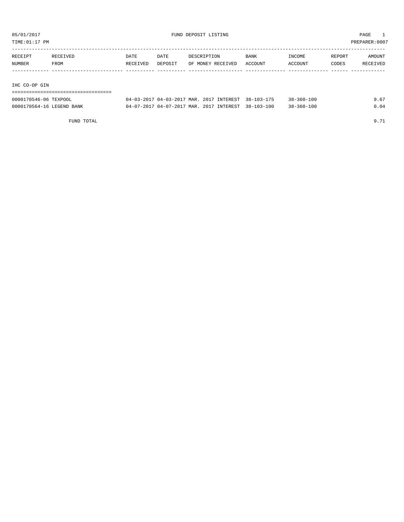TIME:01:17 PM PREPARER:0007

| RECEIPT       | RECEIVED | DATE     | DATE    | DESCRIPTION       | <b>BANK</b> | INCOME         | REPORT | AMOUNT   |
|---------------|----------|----------|---------|-------------------|-------------|----------------|--------|----------|
| NUMBER        | FROM     | RECEIVED | DEPOSIT | OF MONEY RECEIVED | ACCOUNT     | <b>ACCOUNT</b> | CODES  | RECEIVED |
|               |          |          |         |                   |             |                |        |          |
|               |          |          |         |                   |             |                |        |          |
| IHC CO-OP GIN |          |          |         |                   |             |                |        |          |

| ---------------------     |                                                     |  |                  |      |
|---------------------------|-----------------------------------------------------|--|------------------|------|
| 0000170546-06 TEXPOOL     | 04-03-2017 04-03-2017 MAR. 2017 INTEREST 38-103-175 |  | $38 - 360 - 100$ | 9.67 |
| 0000170564-16 LEGEND BANK | 04-07-2017 04-07-2017 MAR. 2017 INTEREST 38-103-100 |  | $38 - 360 - 100$ | 0.04 |

FUND TOTAL 9.71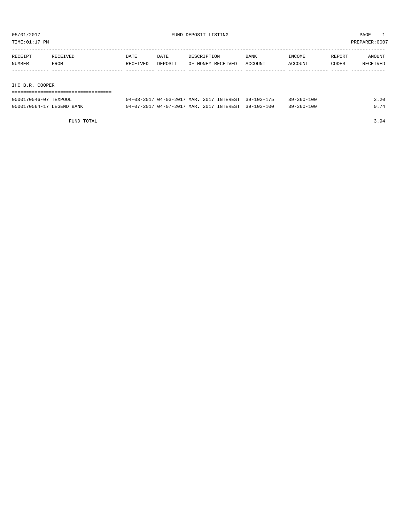TIME:01:17 PM PREPARER:0007

| RECEIPT         | RECEIVED | DATE     | DATE    | DESCRIPTION       | <b>BANK</b> | INCOME         | REPORT | AMOUNT   |
|-----------------|----------|----------|---------|-------------------|-------------|----------------|--------|----------|
| NUMBER          | FROM     | RECEIVED | DEPOSIT | OF MONEY RECEIVED | ACCOUNT     | <b>ACCOUNT</b> | CODES  | RECEIVED |
|                 |          |          |         |                   |             |                |        |          |
|                 |          |          |         |                   |             |                |        |          |
| TIIG D D GOODED |          |          |         |                   |             |                |        |          |

IHC B.R. COOPER

| -------------------------------------<br>------------------------------------ |  |
|-------------------------------------------------------------------------------|--|
|                                                                               |  |

| 0000170546-07 TEXPOOL     | 04-03-2017 04-03-2017 MAR. 2017 INTEREST 39-103-175 |  | $39 - 360 - 100$ | 3.20 |
|---------------------------|-----------------------------------------------------|--|------------------|------|
| 0000170564-17 LEGEND BANK | 04-07-2017 04-07-2017 MAR. 2017 INTEREST 39-103-100 |  | $39 - 360 - 100$ | 0.74 |

FUND TOTAL 3.94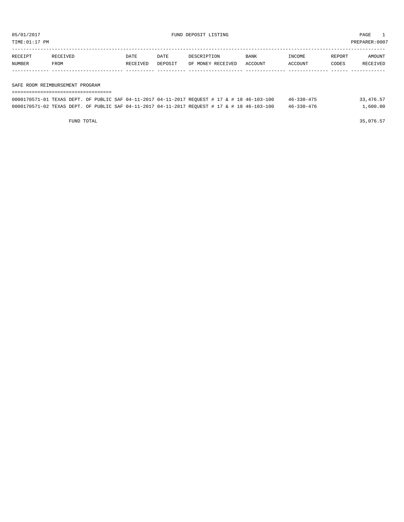TIME:01:17 PM PREPARER:0007

| RECEIPT | RECEIVED | DATE            | DATE    | DESCRIPTION       | <b>BANK</b> | INCOME  | REPORT | AMOUNT          |
|---------|----------|-----------------|---------|-------------------|-------------|---------|--------|-----------------|
| NUMBER  | FROM     | <b>RECEIVED</b> | DEPOSIT | OF MONEY RECEIVED | ACCOUNT     | ACCOUNT | CODES  | <b>RECEIVED</b> |
|         |          |                 |         |                   |             |         |        |                 |

#### SAFE ROOM REIMBURSEMENT PROGRAM

| ---------------------------------- |  |                                                                                              |  |  |                  |           |
|------------------------------------|--|----------------------------------------------------------------------------------------------|--|--|------------------|-----------|
|                                    |  | 0000170571-01 TEXAS DEPT. OF PUBLIC SAF 04-11-2017 04-11-2017 REQUEST # 17 & # 18 46-103-100 |  |  | $46 - 330 - 475$ | 33,476.57 |
|                                    |  | 0000170571-02 TEXAS DEPT. OF PUBLIC SAF 04-11-2017 04-11-2017 REOUEST # 17 & # 18 46-103-100 |  |  | $46 - 330 - 476$ | 1,600.00  |

FUND TOTAL  $35,076.57$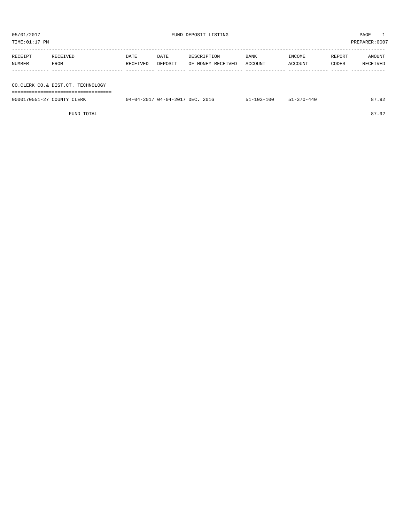| TIME: 01:17 PM             |                                   |          |                                 |                   |                  |                  |        | PREPARER:0007 |
|----------------------------|-----------------------------------|----------|---------------------------------|-------------------|------------------|------------------|--------|---------------|
|                            |                                   |          |                                 |                   |                  |                  |        |               |
| RECEIPT                    | RECEIVED                          | DATE     | DATE                            | DESCRIPTION       | BANK             | INCOME           | REPORT | AMOUNT        |
| NUMBER                     | FROM                              | RECEIVED | DEPOSIT                         | OF MONEY RECEIVED | ACCOUNT          | ACCOUNT          | CODES  | RECEIVED      |
|                            |                                   |          |                                 |                   |                  |                  |        |               |
|                            |                                   |          |                                 |                   |                  |                  |        |               |
|                            | CO.CLERK CO.& DIST.CT. TECHNOLOGY |          |                                 |                   |                  |                  |        |               |
|                            |                                   |          |                                 |                   |                  |                  |        |               |
| 0000170551-27 COUNTY CLERK |                                   |          | 04-04-2017 04-04-2017 DEC. 2016 |                   | $51 - 103 - 100$ | $51 - 370 - 440$ |        | 87.92         |
|                            |                                   |          |                                 |                   |                  |                  |        |               |

FUND TOTAL 87.92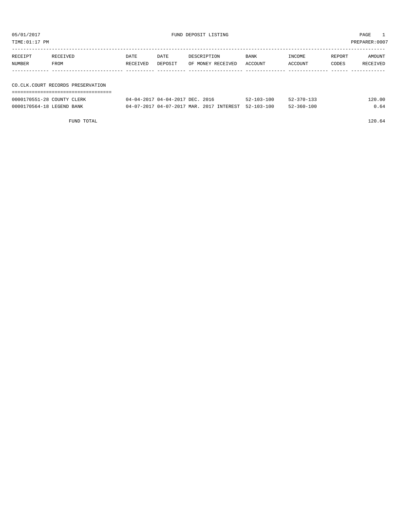| TIME:01:17 PM |                                   |          |         |                   |         |         |        | PREPARER:0007 |
|---------------|-----------------------------------|----------|---------|-------------------|---------|---------|--------|---------------|
| RECEIPT       | RECEIVED                          | DATE     | DATE    | DESCRIPTION       | BANK    | INCOME  | REPORT | AMOUNT        |
| NUMBER        | FROM                              | RECEIVED | DEPOSIT | OF MONEY RECEIVED | ACCOUNT | ACCOUNT | CODES  | RECEIVED      |
|               |                                   |          |         |                   |         |         |        |               |
|               |                                   |          |         |                   |         |         |        |               |
|               | CO.CLK.COURT RECORDS PRESERVATION |          |         |                   |         |         |        |               |
|               |                                   |          |         |                   |         |         |        |               |

| 0000170551-28 COUNTY CLERK | 04-04-2017 04-04-2017 DEC. 2016                     | $52 - 103 - 100$ | $52 - 370 - 133$ | 120.00 |
|----------------------------|-----------------------------------------------------|------------------|------------------|--------|
| 0000170564-18 LEGEND BANK  | 04-07-2017 04-07-2017 MAR. 2017 INTEREST 52-103-100 |                  | $52 - 360 - 100$ | 0.64   |

FUND TOTAL 120.64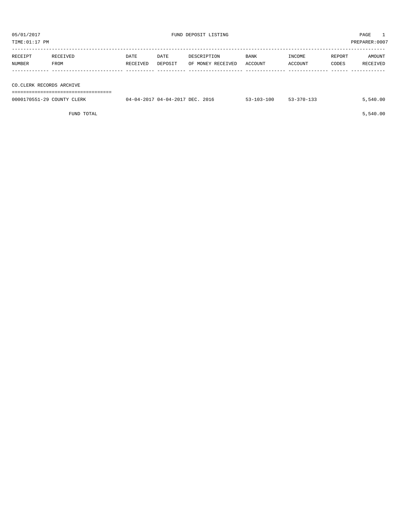TIME:01:17 PM PREPARER:0007

| RECEIPT                  | RECEIVED | DATE     | DATE    | DESCRIPTION       | <b>BANK</b> | INCOME  | REPORT | AMOUNT   |
|--------------------------|----------|----------|---------|-------------------|-------------|---------|--------|----------|
| NUMBER                   | FROM     | RECEIVED | DEPOSIT | OF MONEY RECEIVED | ACCOUNT     | ACCOUNT | CODES  | RECEIVED |
|                          |          |          |         |                   |             |         |        |          |
|                          |          |          |         |                   |             |         |        |          |
| CO.CLERK RECORDS ARCHIVE |          |          |         |                   |             |         |        |          |
|                          |          |          |         |                   |             |         |        |          |

| 0000170551-29 COUNTY CLERK | 04-04-2017 04-04-2017 DEC. 2016 | $53 - 103 - 100$ | $53 - 370 - 133$ | 5,540.00 |
|----------------------------|---------------------------------|------------------|------------------|----------|
|                            |                                 |                  |                  |          |

 $FUND$  TOTAL  $5,540.00$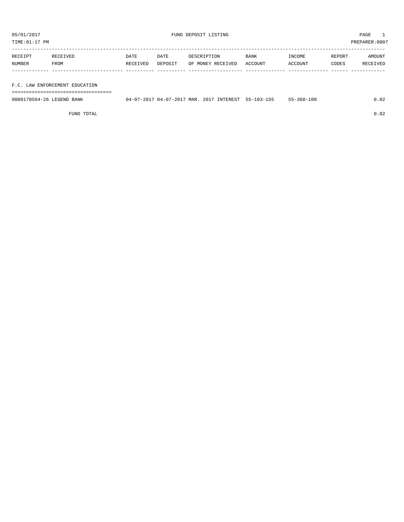TIME:01:17 PM PREPARER:0007

| RECEIPT | RECEIVED    | DATE     | DATE    | DESCRIPTION       | <b>BANK</b> | INCOME  | REPORT | AMOUNT   |
|---------|-------------|----------|---------|-------------------|-------------|---------|--------|----------|
| NUMBER  | <b>FROM</b> | RECEIVED | DEPOSIT | OF MONEY RECEIVED | ACCOUNT     | ACCOUNT | CODES  | RECEIVED |
|         |             |          |         |                   |             |         |        |          |

### F.C. LAW ENFORCEMENT EDUCATION

===================================

| 0000170564-26 LEGEND BANK | 04-07-2017 04-07-2017 MAR. 2017 INTEREST 55-103-155 |  | $55 - 360 - 100$ | .02 |
|---------------------------|-----------------------------------------------------|--|------------------|-----|
|                           |                                                     |  |                  |     |

FUND TOTAL 0.02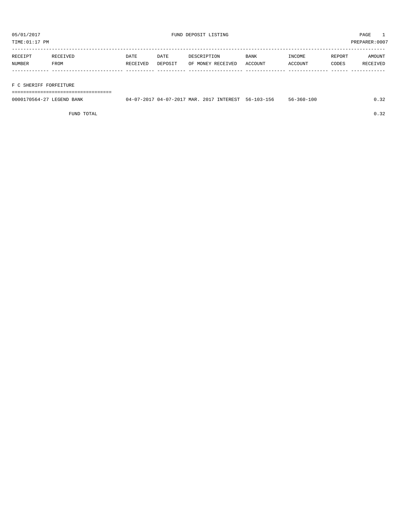TIME:01:17 PM PREPARER:0007

| RECEIPT | RECEIVED | DATE     | DATE    | DESCRIPTION       | <b>BANK</b> | INCOME  | REPORT | AMOUNT   |
|---------|----------|----------|---------|-------------------|-------------|---------|--------|----------|
| NUMBER  | FROM     | RECEIVED | DEPOSIT | OF MONEY RECEIVED | ACCOUNT     | ACCOUNT | CODES  | RECEIVED |
|         |          |          |         |                   |             |         |        |          |

## F C SHERIFF FORFEITURE

===================================

| 0000170564-27 LEGEND BANK | 04-07-2017 04-07-2017 MAR. 2017 INTEREST 56-103-156 |  | 56-360-100 | 0.32 |
|---------------------------|-----------------------------------------------------|--|------------|------|
|                           |                                                     |  |            |      |

FUND TOTAL  $0.32$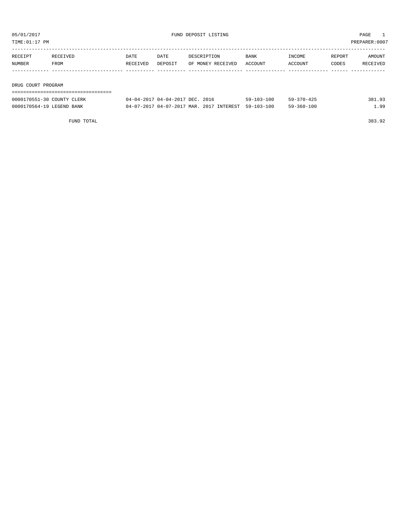TIME:01:17 PM PREPARER:0007

| RECEIPT            | RECEIVED | DATE     | DATE    | DESCRIPTION       | <b>BANK</b> | INCOME  | REPORT | AMOUNT   |
|--------------------|----------|----------|---------|-------------------|-------------|---------|--------|----------|
| <b>NUMBER</b>      | FROM     | RECEIVED | DEPOSIT | OF MONEY RECEIVED | ACCOUNT     | ACCOUNT | CODES  | RECEIVED |
|                    |          |          |         |                   |             |         |        |          |
|                    |          |          |         |                   |             |         |        |          |
| DRUG COURT PROGRAM |          |          |         |                   |             |         |        |          |

| -------------------------  |                                                     |                  |                  |        |
|----------------------------|-----------------------------------------------------|------------------|------------------|--------|
| 0000170551-30 COUNTY CLERK | 04-04-2017 04-04-2017 DEC. 2016                     | $59 - 103 - 100$ | 59-370-425       | 381.93 |
| 0000170564-19 LEGEND BANK  | 04-07-2017 04-07-2017 MAR. 2017 INTEREST 59-103-100 |                  | $59 - 360 - 100$ | 99     |

FUND TOTAL 383.92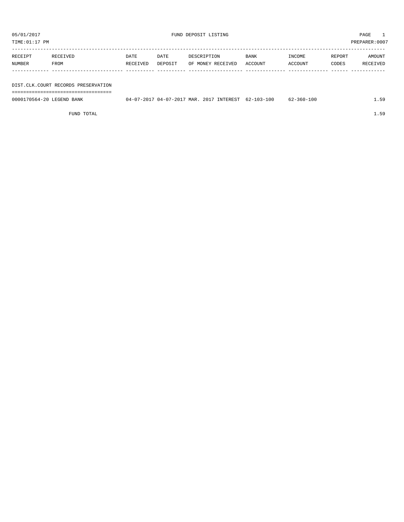| TIME: 01:17 PM<br>PREPARER: 0007 |                                     |          |         |                   |         |         |        |          |  |  |
|----------------------------------|-------------------------------------|----------|---------|-------------------|---------|---------|--------|----------|--|--|
|                                  |                                     |          |         |                   |         |         |        |          |  |  |
| RECEIPT                          | RECEIVED                            | DATE     | DATE    | DESCRIPTION       | BANK    | INCOME  | REPORT | AMOUNT   |  |  |
| NUMBER                           | FROM                                | RECEIVED | DEPOSIT | OF MONEY RECEIVED | ACCOUNT | ACCOUNT | CODES  | RECEIVED |  |  |
|                                  |                                     |          |         |                   |         |         |        |          |  |  |
|                                  |                                     |          |         |                   |         |         |        |          |  |  |
|                                  | DIST.CLK.COURT RECORDS PRESERVATION |          |         |                   |         |         |        |          |  |  |
|                                  |                                     |          |         |                   |         |         |        |          |  |  |

0000170564-20 LEGEND BANK 04-07-2017 04-07-2017 MAR. 2017 INTEREST 62-103-100 62-360-100 1.59

FUND TOTAL 1.59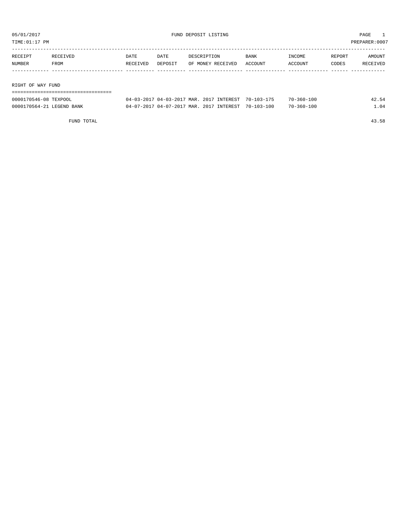| TIME: 01:17 PM    |          |          |         |                   |             |         |        | PREPARER:0007 |
|-------------------|----------|----------|---------|-------------------|-------------|---------|--------|---------------|
| RECEIPT           | RECEIVED | DATE     | DATE    | DESCRIPTION       | <b>BANK</b> | INCOME  | REPORT | AMOUNT        |
| NUMBER            | FROM     | RECEIVED | DEPOSIT | OF MONEY RECEIVED | ACCOUNT     | ACCOUNT | CODES  | RECEIVED      |
|                   |          |          |         |                   |             |         |        |               |
|                   |          |          |         |                   |             |         |        |               |
| RIGHT OF WAY FUND |          |          |         |                   |             |         |        |               |
|                   |          |          |         |                   |             |         |        |               |

| 0000170546-08 TEXPOOL     | 04-03-2017 04-03-2017 MAR. 2017 INTEREST 70-103-175 |  | $70 - 360 - 100$ | 42.54 |
|---------------------------|-----------------------------------------------------|--|------------------|-------|
| 0000170564-21 LEGEND BANK | 04-07-2017 04-07-2017 MAR. 2017 INTEREST 70-103-100 |  | $70 - 360 - 100$ | ⊥.04  |

FUND TOTAL 43.58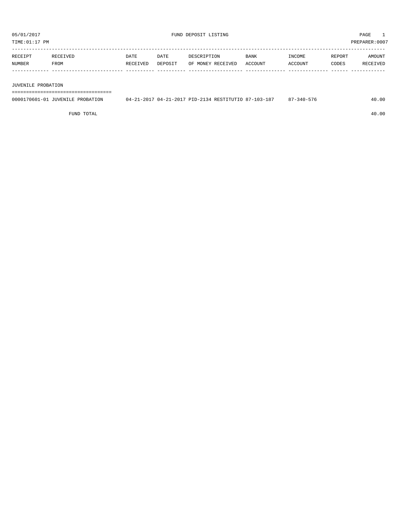| <b>RECEIPT</b> | RECEIVED    | DATE     | DATE    | DESCRIPTION       | <b>BANK</b>    | INCOME  | REPORT | AMOUNT          |
|----------------|-------------|----------|---------|-------------------|----------------|---------|--------|-----------------|
| NUMBER         | <b>FROM</b> | RECEIVED | DEPOSIT | OF MONEY RECEIVED | <b>ACCOUNT</b> | ACCOUNT | CODES  | <b>RECEIVED</b> |
|                |             |          |         |                   |                |         |        |                 |

JUVENILE PROBATION

===================================

| 0000170601-01 JUVENILE PROBATION | 04-21-2017 04-21-2017 PID-2134 RESTITUTIO 87-103-187 | 7-340-576<br>$\Omega$ | 40.00 |
|----------------------------------|------------------------------------------------------|-----------------------|-------|
|                                  |                                                      |                       |       |

FUND TOTAL 40.00

TIME:01:17 PM PREPARER:0007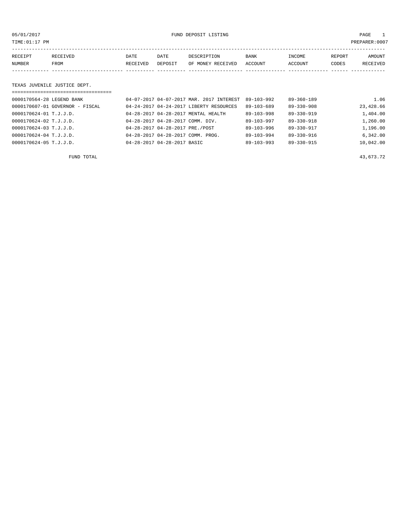05/01/2017 FUND DEPOSIT LISTING PAGE 1

| RECEIPT | <b>RECEIVED</b> | DATE     | DATE    | DESCRIPTION       | <b>BANK</b> | INCOME  | REPORT | AMOUNT          |
|---------|-----------------|----------|---------|-------------------|-------------|---------|--------|-----------------|
| NUMBER  | FROM            | RECEIVED | DEPOSIT | OF MONEY RECEIVED | ACCOUNT     | ACCOUNT | CODES  | <b>RECEIVED</b> |
|         |                 |          |         |                   |             |         |        |                 |

#### TEXAS JUVENILE JUSTICE DEPT.

| =================================== |                                          |                  |                  |           |
|-------------------------------------|------------------------------------------|------------------|------------------|-----------|
| 0000170564-28 LEGEND BANK           | 04-07-2017 04-07-2017 MAR. 2017 INTEREST | $89 - 103 - 992$ | $89 - 360 - 189$ | 1.06      |
| 0000170607-01 GOVERNOR - FISCAL     | 04-24-2017 04-24-2017 LIBERTY RESOURCES  | 89-103-689       | $89 - 330 - 908$ | 23,428.66 |
| 0000170624-01 T.J.J.D.              | 04-28-2017 04-28-2017 MENTAL HEALTH      | 89-103-998       | $89 - 330 - 919$ | 1,404.00  |
| 0000170624-02 T.J.J.D.              | 04-28-2017 04-28-2017 COMM. DIV.         | $89 - 103 - 997$ | $89 - 330 - 918$ | 1,260.00  |
| 0000170624-03 T.J.J.D.              | 04-28-2017 04-28-2017 PRE./POST          | $89 - 103 - 996$ | $89 - 330 - 917$ | 1,196.00  |
| 0000170624-04 T.J.J.D.              | 04-28-2017 04-28-2017 COMM. PROG.        | $89 - 103 - 994$ | 89-330-916       | 6,342.00  |
| $0000170624 - 05$ T.J.J.D.          | 04-28-2017 04-28-2017 BASIC              | $89 - 103 - 993$ | $89 - 330 - 915$ | 10,042.00 |

FUND TOTAL  $^{43}$ , 673.72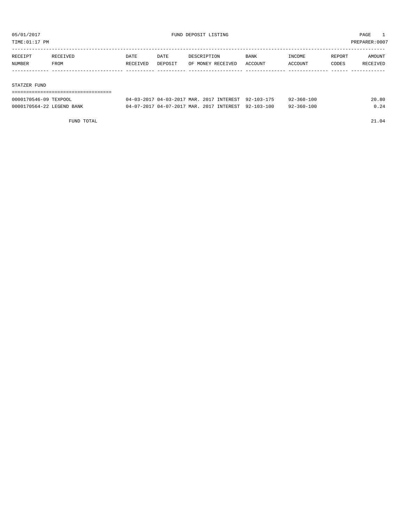TIME:01:17 PM PREPARER:0007

| RECEIPT | RECEIVED | DATE     | DATE    | DESCRIPTION       | <b>BANK</b> | INCOME  | REPORT | AMOUNT   |
|---------|----------|----------|---------|-------------------|-------------|---------|--------|----------|
| NUMBER  | FROM     | RECEIVED | DEPOSIT | OF MONEY RECEIVED | ACCOUNT     | ACCOUNT | CODES  | RECEIVED |
|         |          |          |         |                   |             |         |        |          |
|         |          |          |         |                   |             |         |        |          |

#### STATZER FUND

| 0000170546-09 TEXPOOL     | 04-03-2017 04-03-2017 MAR. 2017 INTEREST 92-103-175 |  | $92 - 360 - 100$ | 20.80 |
|---------------------------|-----------------------------------------------------|--|------------------|-------|
| 0000170564-22 LEGEND BANK | 04-07-2017 04-07-2017 MAR. 2017 INTEREST 92-103-100 |  | $92 - 360 - 100$ | 0.24  |

FUND TOTAL 21.04